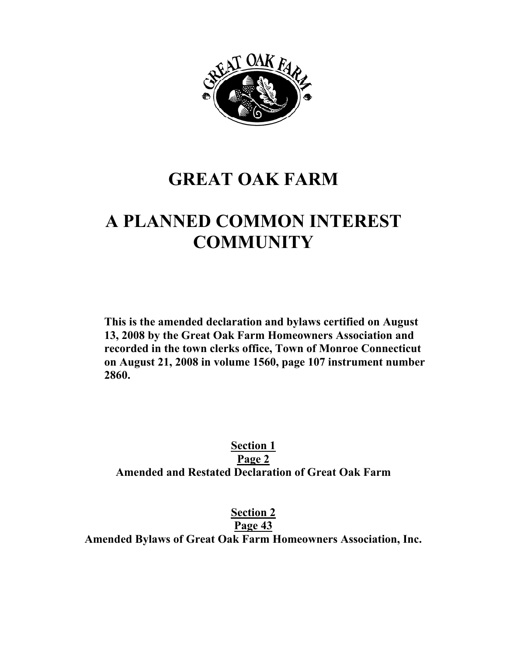

# **GREAT OAK FARM**

# **A PLANNED COMMON INTEREST COMMUNITY**

**This is the amended declaration and bylaws certified on August 13, 2008 by the Great Oak Farm Homeowners Association and recorded in the town clerks office, Town of Monroe Connecticut on August 21, 2008 in volume 1560, page 107 instrument number 2860.** 

**Section 1 Page 2 Amended and Restated Declaration of Great Oak Farm** 

**Section 2**

**Page 43**

**Amended Bylaws of Great Oak Farm Homeowners Association, Inc.**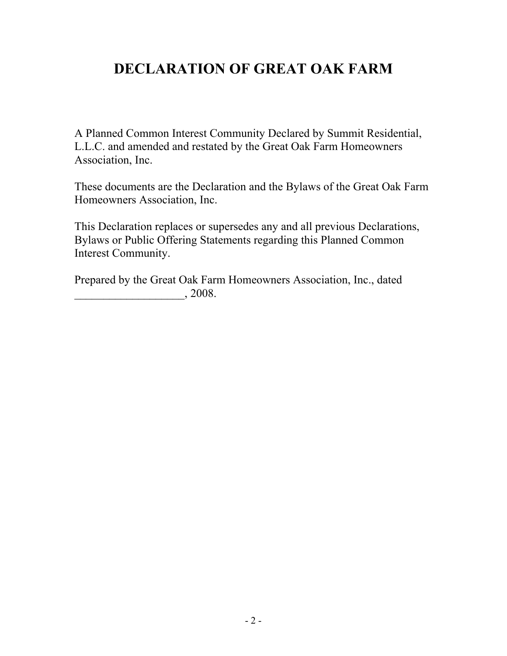# **DECLARATION OF GREAT OAK FARM**

A Planned Common Interest Community Declared by Summit Residential, L.L.C. and amended and restated by the Great Oak Farm Homeowners Association, Inc.

These documents are the Declaration and the Bylaws of the Great Oak Farm Homeowners Association, Inc.

This Declaration replaces or supersedes any and all previous Declarations, Bylaws or Public Offering Statements regarding this Planned Common Interest Community.

Prepared by the Great Oak Farm Homeowners Association, Inc., dated  $, 2008.$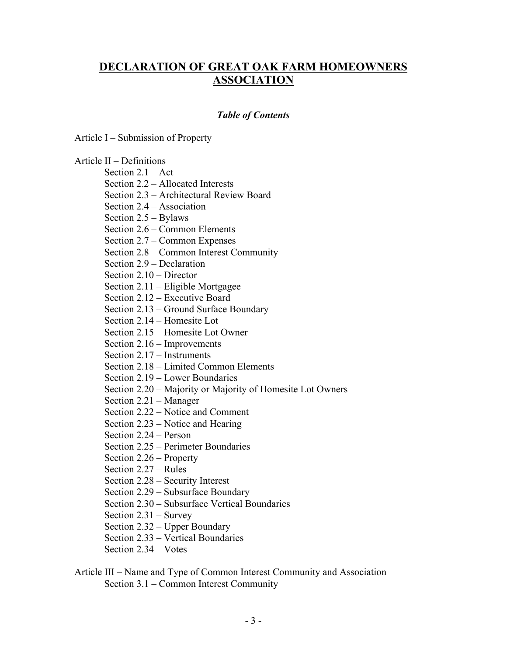### **DECLARATION OF GREAT OAK FARM HOMEOWNERS ASSOCIATION**

#### *Table of Contents*

Article I – Submission of Property

#### Article II – Definitions

Section 2.1 – Act

Section 2.2 – Allocated Interests

Section 2.3 – Architectural Review Board

Section 2.4 – Association

Section 2.5 – Bylaws

Section 2.6 – Common Elements

Section 2.7 – Common Expenses

Section 2.8 – Common Interest Community

Section 2.9 – Declaration

Section 2.10 – Director

Section 2.11 – Eligible Mortgagee

Section 2.12 – Executive Board

Section 2.13 – Ground Surface Boundary

Section 2.14 – Homesite Lot

Section 2.15 – Homesite Lot Owner

Section 2.16 – Improvements

Section 2.17 – Instruments

Section 2.18 – Limited Common Elements

Section 2.19 – Lower Boundaries

Section 2.20 – Majority or Majority of Homesite Lot Owners

Section 2.21 – Manager

Section 2.22 – Notice and Comment

Section 2.23 – Notice and Hearing

Section 2.24 – Person

Section 2.25 – Perimeter Boundaries

Section 2.26 – Property

Section 2.27 – Rules

Section 2.28 – Security Interest

Section 2.29 – Subsurface Boundary

Section 2.30 – Subsurface Vertical Boundaries

Section 2.31 – Survey

Section 2.32 – Upper Boundary

Section 2.33 – Vertical Boundaries

Section 2.34 – Votes

#### Article III – Name and Type of Common Interest Community and Association Section 3.1 – Common Interest Community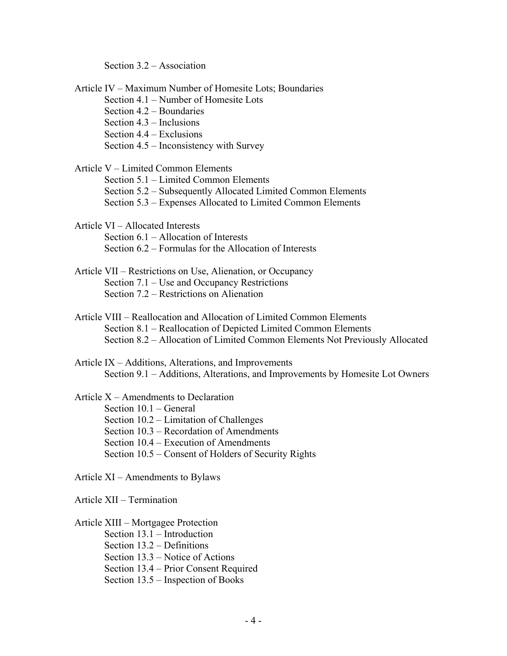Section 3.2 – Association

Article IV – Maximum Number of Homesite Lots; Boundaries Section 4.1 – Number of Homesite Lots Section 4.2 – Boundaries Section 4.3 – Inclusions Section 4.4 – Exclusions Section 4.5 – Inconsistency with Survey Article V – Limited Common Elements Section 5.1 – Limited Common Elements Section 5.2 – Subsequently Allocated Limited Common Elements Section 5.3 – Expenses Allocated to Limited Common Elements Article VI – Allocated Interests Section 6.1 – Allocation of Interests Section 6.2 – Formulas for the Allocation of Interests Article VII – Restrictions on Use, Alienation, or Occupancy Section 7.1 – Use and Occupancy Restrictions Section 7.2 – Restrictions on Alienation Article VIII – Reallocation and Allocation of Limited Common Elements Section 8.1 – Reallocation of Depicted Limited Common Elements Section 8.2 – Allocation of Limited Common Elements Not Previously Allocated Article IX – Additions, Alterations, and Improvements Section 9.1 – Additions, Alterations, and Improvements by Homesite Lot Owners Article X – Amendments to Declaration Section 10.1 – General Section 10.2 – Limitation of Challenges Section 10.3 – Recordation of Amendments Section 10.4 – Execution of Amendments Section 10.5 – Consent of Holders of Security Rights Article XI – Amendments to Bylaws

Article XII – Termination

#### Article XIII – Mortgagee Protection

 Section 13.1 – Introduction Section 13.2 – Definitions Section 13.3 – Notice of Actions Section 13.4 – Prior Consent Required Section 13.5 – Inspection of Books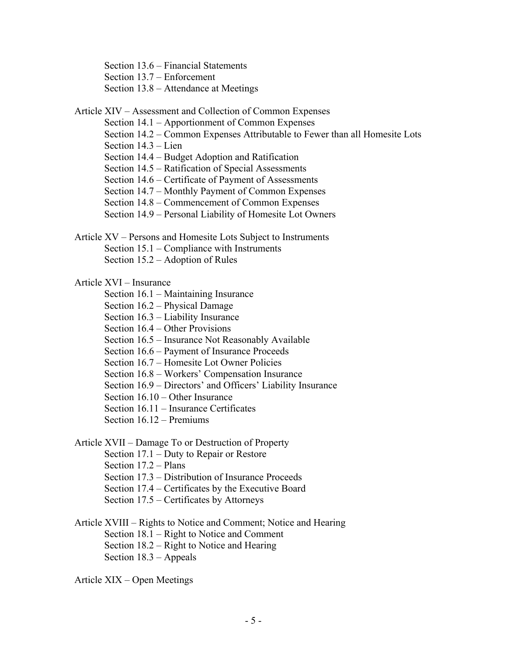Section 13.6 – Financial Statements

Section 13.7 – Enforcement

- Section 13.8 Attendance at Meetings
- Article XIV Assessment and Collection of Common Expenses
	- Section 14.1 Apportionment of Common Expenses
	- Section 14.2 Common Expenses Attributable to Fewer than all Homesite Lots
	- Section 14.3 Lien
	- Section 14.4 Budget Adoption and Ratification
	- Section 14.5 Ratification of Special Assessments
	- Section 14.6 Certificate of Payment of Assessments
	- Section 14.7 Monthly Payment of Common Expenses
	- Section 14.8 Commencement of Common Expenses
	- Section 14.9 Personal Liability of Homesite Lot Owners
- Article XV Persons and Homesite Lots Subject to Instruments Section 15.1 – Compliance with Instruments Section 15.2 – Adoption of Rules

#### Article XVI – Insurance

- Section 16.1 Maintaining Insurance
- Section 16.2 Physical Damage
- Section 16.3 Liability Insurance
- Section 16.4 Other Provisions
- Section 16.5 Insurance Not Reasonably Available
- Section 16.6 Payment of Insurance Proceeds
- Section 16.7 Homesite Lot Owner Policies
- Section 16.8 Workers' Compensation Insurance
- Section 16.9 Directors' and Officers' Liability Insurance
- Section 16.10 Other Insurance
- Section 16.11 Insurance Certificates
- Section 16.12 Premiums

#### Article XVII – Damage To or Destruction of Property

- Section 17.1 Duty to Repair or Restore
- Section 17.2 Plans
- Section 17.3 Distribution of Insurance Proceeds
- Section 17.4 Certificates by the Executive Board
- Section 17.5 Certificates by Attorneys
- Article XVIII Rights to Notice and Comment; Notice and Hearing Section 18.1 – Right to Notice and Comment Section 18.2 – Right to Notice and Hearing Section 18.3 – Appeals
- Article XIX Open Meetings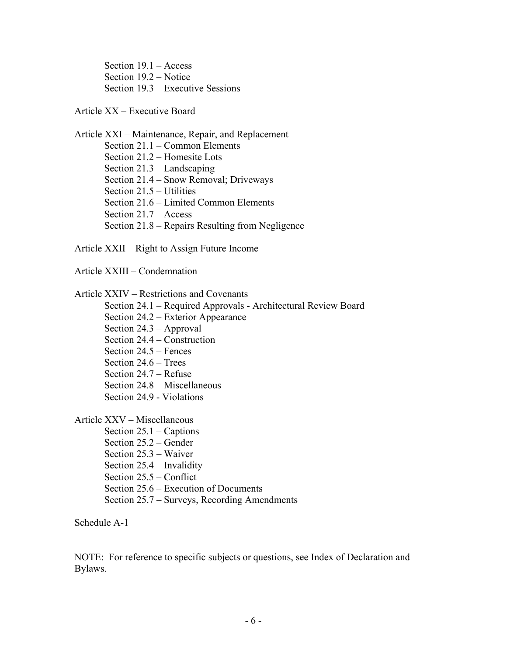Section 19.1 – Access Section 19.2 – Notice Section 19.3 – Executive Sessions

#### Article XX – Executive Board

Article XXI – Maintenance, Repair, and Replacement Section 21.1 – Common Elements Section 21.2 – Homesite Lots Section 21.3 – Landscaping Section 21.4 – Snow Removal; Driveways Section 21.5 – Utilities Section 21.6 – Limited Common Elements Section 21.7 – Access Section 21.8 – Repairs Resulting from Negligence

Article XXII – Right to Assign Future Income

Article XXIII – Condemnation

Article XXIV – Restrictions and Covenants

- Section 24.1 Required Approvals Architectural Review Board
- Section 24.2 Exterior Appearance
- Section 24.3 Approval
- Section 24.4 Construction
- Section 24.5 Fences
- Section 24.6 Trees
- Section 24.7 Refuse
- Section 24.8 Miscellaneous
- Section 24.9 Violations

Article XXV – Miscellaneous

- Section 25.1 Captions
- Section 25.2 Gender
- Section 25.3 Waiver
- Section 25.4 Invalidity
- Section 25.5 Conflict
- Section 25.6 Execution of Documents
- Section 25.7 Surveys, Recording Amendments

Schedule A-1

NOTE: For reference to specific subjects or questions, see Index of Declaration and Bylaws.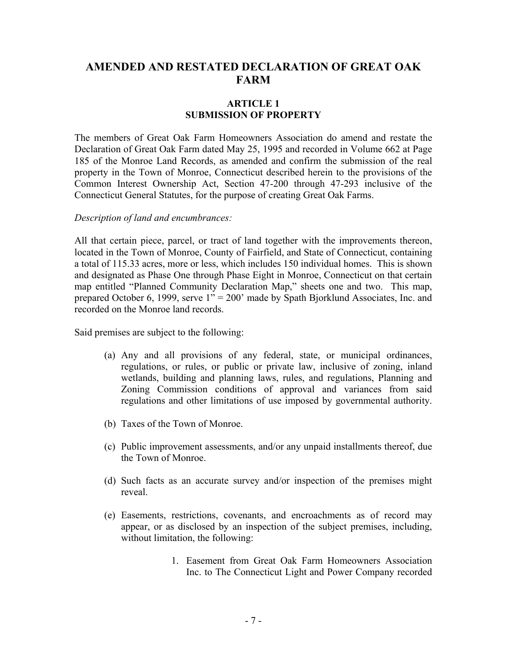### **AMENDED AND RESTATED DECLARATION OF GREAT OAK FARM**

#### **ARTICLE 1 SUBMISSION OF PROPERTY**

The members of Great Oak Farm Homeowners Association do amend and restate the Declaration of Great Oak Farm dated May 25, 1995 and recorded in Volume 662 at Page 185 of the Monroe Land Records, as amended and confirm the submission of the real property in the Town of Monroe, Connecticut described herein to the provisions of the Common Interest Ownership Act, Section 47-200 through 47-293 inclusive of the Connecticut General Statutes, for the purpose of creating Great Oak Farms.

#### *Description of land and encumbrances:*

All that certain piece, parcel, or tract of land together with the improvements thereon, located in the Town of Monroe, County of Fairfield, and State of Connecticut, containing a total of 115.33 acres, more or less, which includes 150 individual homes. This is shown and designated as Phase One through Phase Eight in Monroe, Connecticut on that certain map entitled "Planned Community Declaration Map," sheets one and two. This map, prepared October 6, 1999, serve 1" = 200' made by Spath Bjorklund Associates, Inc. and recorded on the Monroe land records.

Said premises are subject to the following:

- (a) Any and all provisions of any federal, state, or municipal ordinances, regulations, or rules, or public or private law, inclusive of zoning, inland wetlands, building and planning laws, rules, and regulations, Planning and Zoning Commission conditions of approval and variances from said regulations and other limitations of use imposed by governmental authority.
- (b) Taxes of the Town of Monroe.
- (c) Public improvement assessments, and/or any unpaid installments thereof, due the Town of Monroe.
- (d) Such facts as an accurate survey and/or inspection of the premises might reveal.
- (e) Easements, restrictions, covenants, and encroachments as of record may appear, or as disclosed by an inspection of the subject premises, including, without limitation, the following:
	- 1. Easement from Great Oak Farm Homeowners Association Inc. to The Connecticut Light and Power Company recorded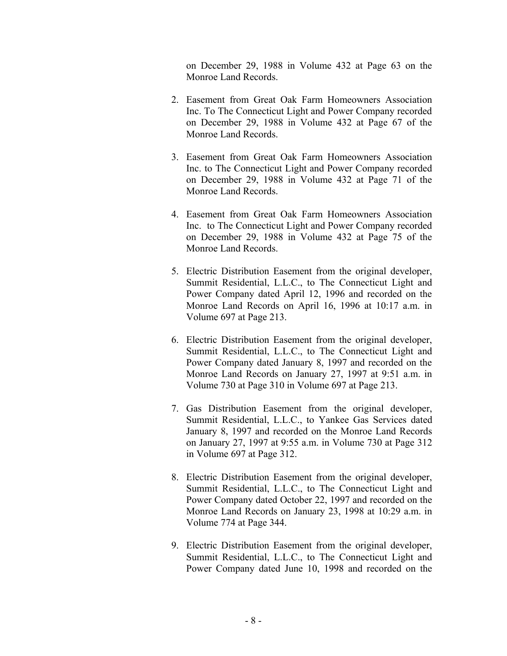on December 29, 1988 in Volume 432 at Page 63 on the Monroe Land Records.

- 2. Easement from Great Oak Farm Homeowners Association Inc. To The Connecticut Light and Power Company recorded on December 29, 1988 in Volume 432 at Page 67 of the Monroe Land Records.
- 3. Easement from Great Oak Farm Homeowners Association Inc. to The Connecticut Light and Power Company recorded on December 29, 1988 in Volume 432 at Page 71 of the Monroe Land Records.
- 4. Easement from Great Oak Farm Homeowners Association Inc. to The Connecticut Light and Power Company recorded on December 29, 1988 in Volume 432 at Page 75 of the Monroe Land Records.
- 5. Electric Distribution Easement from the original developer, Summit Residential, L.L.C., to The Connecticut Light and Power Company dated April 12, 1996 and recorded on the Monroe Land Records on April 16, 1996 at 10:17 a.m. in Volume 697 at Page 213.
- 6. Electric Distribution Easement from the original developer, Summit Residential, L.L.C., to The Connecticut Light and Power Company dated January 8, 1997 and recorded on the Monroe Land Records on January 27, 1997 at 9:51 a.m. in Volume 730 at Page 310 in Volume 697 at Page 213.
- 7. Gas Distribution Easement from the original developer, Summit Residential, L.L.C., to Yankee Gas Services dated January 8, 1997 and recorded on the Monroe Land Records on January 27, 1997 at 9:55 a.m. in Volume 730 at Page 312 in Volume 697 at Page 312.
- 8. Electric Distribution Easement from the original developer, Summit Residential, L.L.C., to The Connecticut Light and Power Company dated October 22, 1997 and recorded on the Monroe Land Records on January 23, 1998 at 10:29 a.m. in Volume 774 at Page 344.
- 9. Electric Distribution Easement from the original developer, Summit Residential, L.L.C., to The Connecticut Light and Power Company dated June 10, 1998 and recorded on the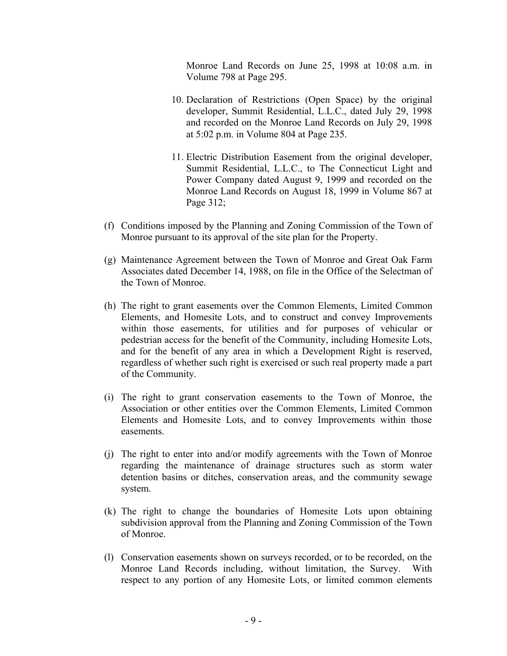Monroe Land Records on June 25, 1998 at 10:08 a.m. in Volume 798 at Page 295.

- 10. Declaration of Restrictions (Open Space) by the original developer, Summit Residential, L.L.C., dated July 29, 1998 and recorded on the Monroe Land Records on July 29, 1998 at 5:02 p.m. in Volume 804 at Page 235.
- 11. Electric Distribution Easement from the original developer, Summit Residential, L.L.C., to The Connecticut Light and Power Company dated August 9, 1999 and recorded on the Monroe Land Records on August 18, 1999 in Volume 867 at Page 312;
- (f) Conditions imposed by the Planning and Zoning Commission of the Town of Monroe pursuant to its approval of the site plan for the Property.
- (g) Maintenance Agreement between the Town of Monroe and Great Oak Farm Associates dated December 14, 1988, on file in the Office of the Selectman of the Town of Monroe.
- (h) The right to grant easements over the Common Elements, Limited Common Elements, and Homesite Lots, and to construct and convey Improvements within those easements, for utilities and for purposes of vehicular or pedestrian access for the benefit of the Community, including Homesite Lots, and for the benefit of any area in which a Development Right is reserved, regardless of whether such right is exercised or such real property made a part of the Community.
- (i) The right to grant conservation easements to the Town of Monroe, the Association or other entities over the Common Elements, Limited Common Elements and Homesite Lots, and to convey Improvements within those easements.
- (j) The right to enter into and/or modify agreements with the Town of Monroe regarding the maintenance of drainage structures such as storm water detention basins or ditches, conservation areas, and the community sewage system.
- (k) The right to change the boundaries of Homesite Lots upon obtaining subdivision approval from the Planning and Zoning Commission of the Town of Monroe.
- (l) Conservation easements shown on surveys recorded, or to be recorded, on the Monroe Land Records including, without limitation, the Survey. With respect to any portion of any Homesite Lots, or limited common elements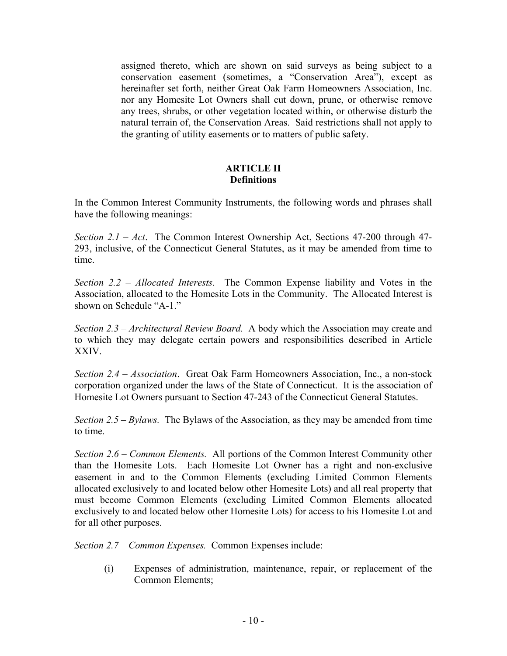assigned thereto, which are shown on said surveys as being subject to a conservation easement (sometimes, a "Conservation Area"), except as hereinafter set forth, neither Great Oak Farm Homeowners Association, Inc. nor any Homesite Lot Owners shall cut down, prune, or otherwise remove any trees, shrubs, or other vegetation located within, or otherwise disturb the natural terrain of, the Conservation Areas. Said restrictions shall not apply to the granting of utility easements or to matters of public safety.

#### **ARTICLE II Definitions**

In the Common Interest Community Instruments, the following words and phrases shall have the following meanings:

*Section 2.1 – Act*. The Common Interest Ownership Act, Sections 47-200 through 47- 293, inclusive, of the Connecticut General Statutes, as it may be amended from time to time.

*Section 2.2 – Allocated Interests*. The Common Expense liability and Votes in the Association, allocated to the Homesite Lots in the Community. The Allocated Interest is shown on Schedule "A-1."

*Section 2.3 – Architectural Review Board.* A body which the Association may create and to which they may delegate certain powers and responsibilities described in Article XXIV.

*Section 2.4 – Association*. Great Oak Farm Homeowners Association, Inc., a non-stock corporation organized under the laws of the State of Connecticut. It is the association of Homesite Lot Owners pursuant to Section 47-243 of the Connecticut General Statutes.

*Section 2.5 – Bylaws.* The Bylaws of the Association, as they may be amended from time to time.

*Section 2.6 – Common Elements.* All portions of the Common Interest Community other than the Homesite Lots. Each Homesite Lot Owner has a right and non-exclusive easement in and to the Common Elements (excluding Limited Common Elements allocated exclusively to and located below other Homesite Lots) and all real property that must become Common Elements (excluding Limited Common Elements allocated exclusively to and located below other Homesite Lots) for access to his Homesite Lot and for all other purposes.

*Section 2.7 – Common Expenses.* Common Expenses include:

(i) Expenses of administration, maintenance, repair, or replacement of the Common Elements;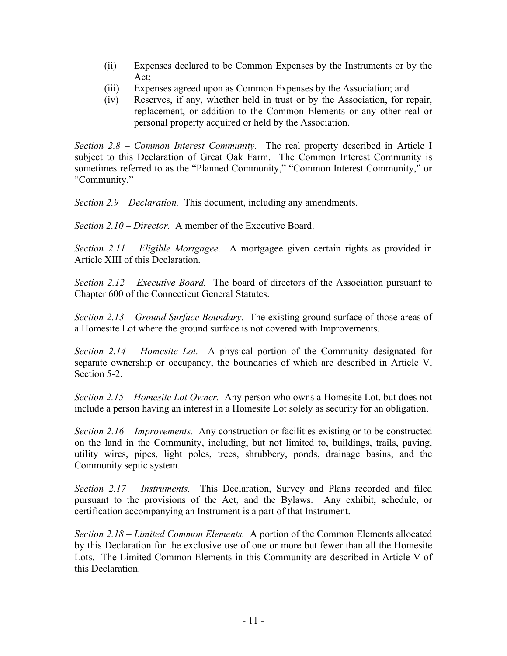- (ii) Expenses declared to be Common Expenses by the Instruments or by the Act;
- (iii) Expenses agreed upon as Common Expenses by the Association; and
- (iv) Reserves, if any, whether held in trust or by the Association, for repair, replacement, or addition to the Common Elements or any other real or personal property acquired or held by the Association.

*Section 2.8 – Common Interest Community.* The real property described in Article I subject to this Declaration of Great Oak Farm. The Common Interest Community is sometimes referred to as the "Planned Community," "Common Interest Community," or "Community."

*Section 2.9 – Declaration.* This document, including any amendments.

*Section 2.10 – Director.* A member of the Executive Board.

*Section 2.11 – Eligible Mortgagee.* A mortgagee given certain rights as provided in Article XIII of this Declaration.

*Section 2.12 – Executive Board.* The board of directors of the Association pursuant to Chapter 600 of the Connecticut General Statutes.

*Section 2.13 – Ground Surface Boundary.* The existing ground surface of those areas of a Homesite Lot where the ground surface is not covered with Improvements.

*Section 2.14 – Homesite Lot.* A physical portion of the Community designated for separate ownership or occupancy, the boundaries of which are described in Article V, Section 5-2.

*Section 2.15 – Homesite Lot Owner.* Any person who owns a Homesite Lot, but does not include a person having an interest in a Homesite Lot solely as security for an obligation.

*Section 2.16 – Improvements.* Any construction or facilities existing or to be constructed on the land in the Community, including, but not limited to, buildings, trails, paving, utility wires, pipes, light poles, trees, shrubbery, ponds, drainage basins, and the Community septic system.

*Section 2.17 – Instruments.* This Declaration, Survey and Plans recorded and filed pursuant to the provisions of the Act, and the Bylaws. Any exhibit, schedule, or certification accompanying an Instrument is a part of that Instrument.

*Section 2.18 – Limited Common Elements.* A portion of the Common Elements allocated by this Declaration for the exclusive use of one or more but fewer than all the Homesite Lots. The Limited Common Elements in this Community are described in Article V of this Declaration.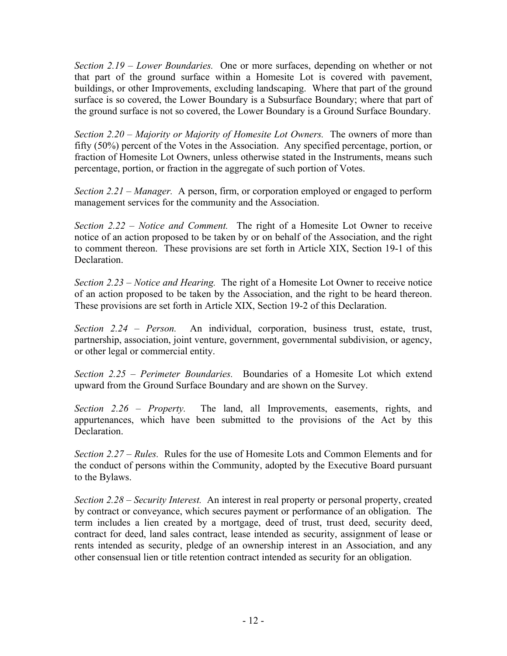*Section 2.19 – Lower Boundaries.* One or more surfaces, depending on whether or not that part of the ground surface within a Homesite Lot is covered with pavement, buildings, or other Improvements, excluding landscaping. Where that part of the ground surface is so covered, the Lower Boundary is a Subsurface Boundary; where that part of the ground surface is not so covered, the Lower Boundary is a Ground Surface Boundary.

*Section 2.20 – Majority or Majority of Homesite Lot Owners.* The owners of more than fifty (50%) percent of the Votes in the Association. Any specified percentage, portion, or fraction of Homesite Lot Owners, unless otherwise stated in the Instruments, means such percentage, portion, or fraction in the aggregate of such portion of Votes.

*Section 2.21 – Manager.* A person, firm, or corporation employed or engaged to perform management services for the community and the Association.

*Section 2.22 – Notice and Comment.* The right of a Homesite Lot Owner to receive notice of an action proposed to be taken by or on behalf of the Association, and the right to comment thereon. These provisions are set forth in Article XIX, Section 19-1 of this Declaration.

*Section 2.23 – Notice and Hearing.* The right of a Homesite Lot Owner to receive notice of an action proposed to be taken by the Association, and the right to be heard thereon. These provisions are set forth in Article XIX, Section 19-2 of this Declaration.

*Section 2.24 – Person.* An individual, corporation, business trust, estate, trust, partnership, association, joint venture, government, governmental subdivision, or agency, or other legal or commercial entity.

*Section 2.25 – Perimeter Boundaries.* Boundaries of a Homesite Lot which extend upward from the Ground Surface Boundary and are shown on the Survey.

*Section 2.26 – Property.* The land, all Improvements, easements, rights, and appurtenances, which have been submitted to the provisions of the Act by this **Declaration** 

*Section 2.27 – Rules.* Rules for the use of Homesite Lots and Common Elements and for the conduct of persons within the Community, adopted by the Executive Board pursuant to the Bylaws.

*Section 2.28 – Security Interest.* An interest in real property or personal property, created by contract or conveyance, which secures payment or performance of an obligation. The term includes a lien created by a mortgage, deed of trust, trust deed, security deed, contract for deed, land sales contract, lease intended as security, assignment of lease or rents intended as security, pledge of an ownership interest in an Association, and any other consensual lien or title retention contract intended as security for an obligation.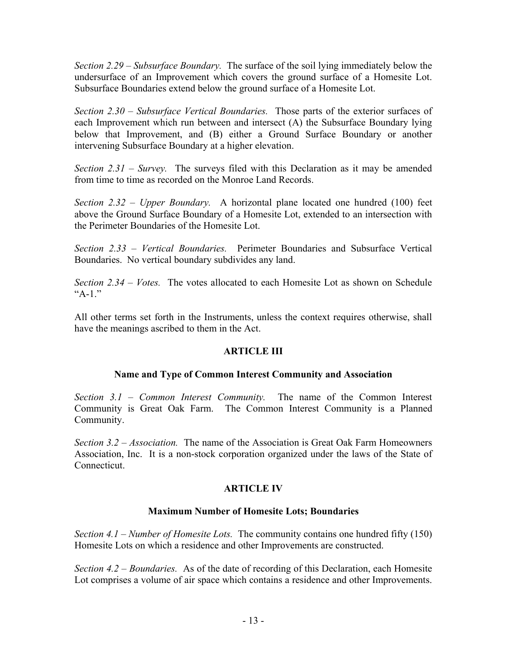*Section 2.29 – Subsurface Boundary.* The surface of the soil lying immediately below the undersurface of an Improvement which covers the ground surface of a Homesite Lot. Subsurface Boundaries extend below the ground surface of a Homesite Lot.

*Section 2.30 – Subsurface Vertical Boundaries.* Those parts of the exterior surfaces of each Improvement which run between and intersect (A) the Subsurface Boundary lying below that Improvement, and (B) either a Ground Surface Boundary or another intervening Subsurface Boundary at a higher elevation.

*Section 2.31 – Survey.* The surveys filed with this Declaration as it may be amended from time to time as recorded on the Monroe Land Records.

*Section 2.32 – Upper Boundary.* A horizontal plane located one hundred (100) feet above the Ground Surface Boundary of a Homesite Lot, extended to an intersection with the Perimeter Boundaries of the Homesite Lot.

*Section 2.33 – Vertical Boundaries.* Perimeter Boundaries and Subsurface Vertical Boundaries. No vertical boundary subdivides any land.

*Section 2.34 – Votes.* The votes allocated to each Homesite Lot as shown on Schedule "A-1."

All other terms set forth in the Instruments, unless the context requires otherwise, shall have the meanings ascribed to them in the Act.

#### **ARTICLE III**

#### **Name and Type of Common Interest Community and Association**

*Section 3.1 – Common Interest Community.* The name of the Common Interest Community is Great Oak Farm. The Common Interest Community is a Planned Community.

*Section 3.2 – Association.* The name of the Association is Great Oak Farm Homeowners Association, Inc. It is a non-stock corporation organized under the laws of the State of Connecticut.

#### **ARTICLE IV**

#### **Maximum Number of Homesite Lots; Boundaries**

*Section 4.1 – Number of Homesite Lots.* The community contains one hundred fifty (150) Homesite Lots on which a residence and other Improvements are constructed.

*Section 4.2 – Boundaries.* As of the date of recording of this Declaration, each Homesite Lot comprises a volume of air space which contains a residence and other Improvements.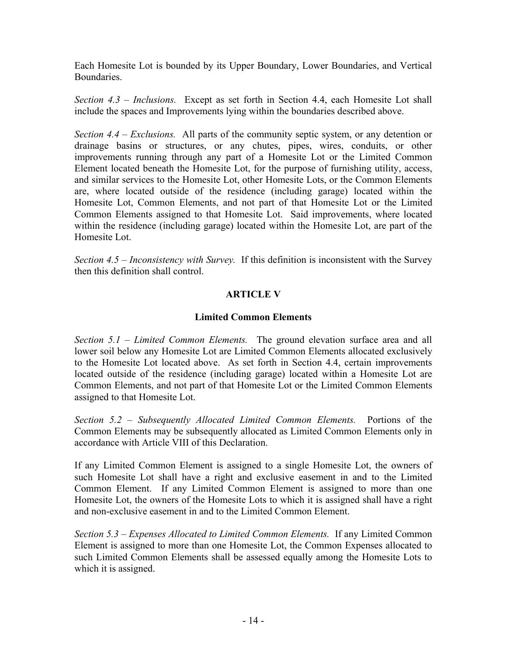Each Homesite Lot is bounded by its Upper Boundary, Lower Boundaries, and Vertical **Boundaries** 

*Section 4.3 – Inclusions.* Except as set forth in Section 4.4, each Homesite Lot shall include the spaces and Improvements lying within the boundaries described above.

*Section 4.4 – Exclusions.* All parts of the community septic system, or any detention or drainage basins or structures, or any chutes, pipes, wires, conduits, or other improvements running through any part of a Homesite Lot or the Limited Common Element located beneath the Homesite Lot, for the purpose of furnishing utility, access, and similar services to the Homesite Lot, other Homesite Lots, or the Common Elements are, where located outside of the residence (including garage) located within the Homesite Lot, Common Elements, and not part of that Homesite Lot or the Limited Common Elements assigned to that Homesite Lot. Said improvements, where located within the residence (including garage) located within the Homesite Lot, are part of the Homesite Lot.

*Section 4.5 – Inconsistency with Survey.* If this definition is inconsistent with the Survey then this definition shall control.

#### **ARTICLE V**

#### **Limited Common Elements**

*Section 5.1 – Limited Common Elements.* The ground elevation surface area and all lower soil below any Homesite Lot are Limited Common Elements allocated exclusively to the Homesite Lot located above. As set forth in Section 4.4, certain improvements located outside of the residence (including garage) located within a Homesite Lot are Common Elements, and not part of that Homesite Lot or the Limited Common Elements assigned to that Homesite Lot.

*Section 5.2 – Subsequently Allocated Limited Common Elements.* Portions of the Common Elements may be subsequently allocated as Limited Common Elements only in accordance with Article VIII of this Declaration.

If any Limited Common Element is assigned to a single Homesite Lot, the owners of such Homesite Lot shall have a right and exclusive easement in and to the Limited Common Element. If any Limited Common Element is assigned to more than one Homesite Lot, the owners of the Homesite Lots to which it is assigned shall have a right and non-exclusive easement in and to the Limited Common Element.

*Section 5.3 – Expenses Allocated to Limited Common Elements.* If any Limited Common Element is assigned to more than one Homesite Lot, the Common Expenses allocated to such Limited Common Elements shall be assessed equally among the Homesite Lots to which it is assigned.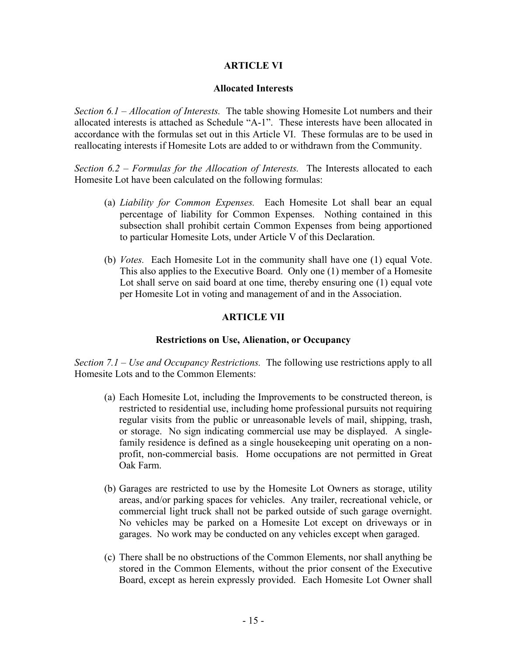#### **ARTICLE VI**

#### **Allocated Interests**

*Section 6.1 – Allocation of Interests.* The table showing Homesite Lot numbers and their allocated interests is attached as Schedule "A-1". These interests have been allocated in accordance with the formulas set out in this Article VI. These formulas are to be used in reallocating interests if Homesite Lots are added to or withdrawn from the Community.

*Section 6.2 – Formulas for the Allocation of Interests.* The Interests allocated to each Homesite Lot have been calculated on the following formulas:

- (a) *Liability for Common Expenses.* Each Homesite Lot shall bear an equal percentage of liability for Common Expenses. Nothing contained in this subsection shall prohibit certain Common Expenses from being apportioned to particular Homesite Lots, under Article V of this Declaration.
- (b) *Votes.* Each Homesite Lot in the community shall have one (1) equal Vote. This also applies to the Executive Board. Only one (1) member of a Homesite Lot shall serve on said board at one time, thereby ensuring one (1) equal vote per Homesite Lot in voting and management of and in the Association.

#### **ARTICLE VII**

#### **Restrictions on Use, Alienation, or Occupancy**

*Section 7.1 – Use and Occupancy Restrictions.* The following use restrictions apply to all Homesite Lots and to the Common Elements:

- (a) Each Homesite Lot, including the Improvements to be constructed thereon, is restricted to residential use, including home professional pursuits not requiring regular visits from the public or unreasonable levels of mail, shipping, trash, or storage. No sign indicating commercial use may be displayed. A singlefamily residence is defined as a single housekeeping unit operating on a nonprofit, non-commercial basis. Home occupations are not permitted in Great Oak Farm.
- (b) Garages are restricted to use by the Homesite Lot Owners as storage, utility areas, and/or parking spaces for vehicles. Any trailer, recreational vehicle, or commercial light truck shall not be parked outside of such garage overnight. No vehicles may be parked on a Homesite Lot except on driveways or in garages. No work may be conducted on any vehicles except when garaged.
- (c) There shall be no obstructions of the Common Elements, nor shall anything be stored in the Common Elements, without the prior consent of the Executive Board, except as herein expressly provided. Each Homesite Lot Owner shall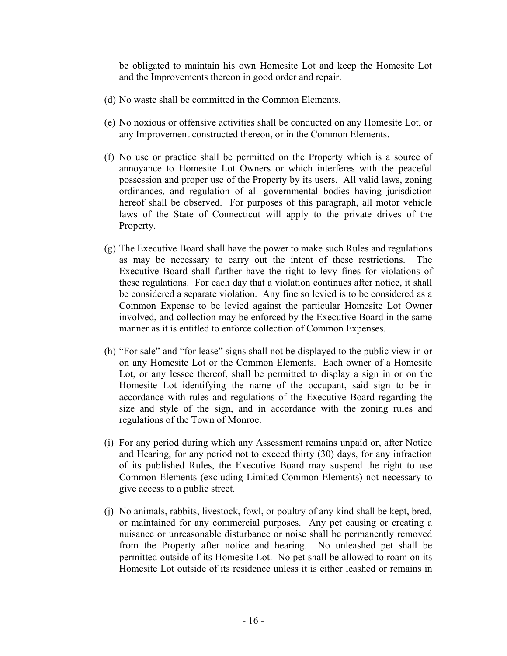be obligated to maintain his own Homesite Lot and keep the Homesite Lot and the Improvements thereon in good order and repair.

- (d) No waste shall be committed in the Common Elements.
- (e) No noxious or offensive activities shall be conducted on any Homesite Lot, or any Improvement constructed thereon, or in the Common Elements.
- (f) No use or practice shall be permitted on the Property which is a source of annoyance to Homesite Lot Owners or which interferes with the peaceful possession and proper use of the Property by its users. All valid laws, zoning ordinances, and regulation of all governmental bodies having jurisdiction hereof shall be observed. For purposes of this paragraph, all motor vehicle laws of the State of Connecticut will apply to the private drives of the Property.
- (g) The Executive Board shall have the power to make such Rules and regulations as may be necessary to carry out the intent of these restrictions. The Executive Board shall further have the right to levy fines for violations of these regulations. For each day that a violation continues after notice, it shall be considered a separate violation. Any fine so levied is to be considered as a Common Expense to be levied against the particular Homesite Lot Owner involved, and collection may be enforced by the Executive Board in the same manner as it is entitled to enforce collection of Common Expenses.
- (h) "For sale" and "for lease" signs shall not be displayed to the public view in or on any Homesite Lot or the Common Elements. Each owner of a Homesite Lot, or any lessee thereof, shall be permitted to display a sign in or on the Homesite Lot identifying the name of the occupant, said sign to be in accordance with rules and regulations of the Executive Board regarding the size and style of the sign, and in accordance with the zoning rules and regulations of the Town of Monroe.
- (i) For any period during which any Assessment remains unpaid or, after Notice and Hearing, for any period not to exceed thirty (30) days, for any infraction of its published Rules, the Executive Board may suspend the right to use Common Elements (excluding Limited Common Elements) not necessary to give access to a public street.
- (j) No animals, rabbits, livestock, fowl, or poultry of any kind shall be kept, bred, or maintained for any commercial purposes. Any pet causing or creating a nuisance or unreasonable disturbance or noise shall be permanently removed from the Property after notice and hearing. No unleashed pet shall be permitted outside of its Homesite Lot. No pet shall be allowed to roam on its Homesite Lot outside of its residence unless it is either leashed or remains in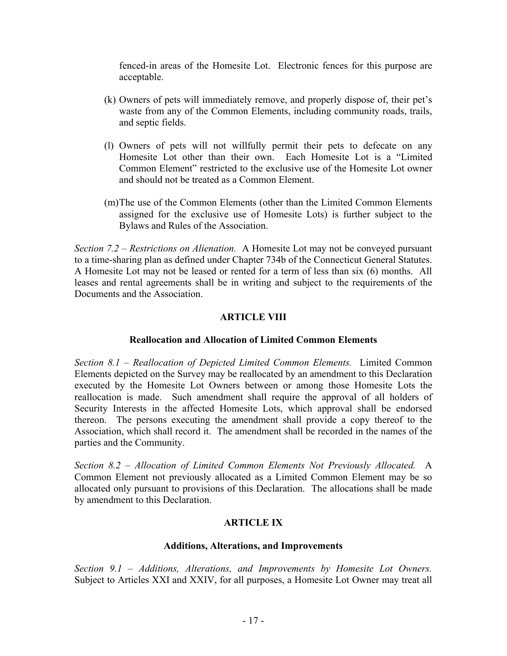fenced-in areas of the Homesite Lot. Electronic fences for this purpose are acceptable.

- (k) Owners of pets will immediately remove, and properly dispose of, their pet's waste from any of the Common Elements, including community roads, trails, and septic fields.
- (l) Owners of pets will not willfully permit their pets to defecate on any Homesite Lot other than their own. Each Homesite Lot is a "Limited Common Element" restricted to the exclusive use of the Homesite Lot owner and should not be treated as a Common Element.
- (m)The use of the Common Elements (other than the Limited Common Elements assigned for the exclusive use of Homesite Lots) is further subject to the Bylaws and Rules of the Association.

*Section 7.2 – Restrictions on Alienation.* A Homesite Lot may not be conveyed pursuant to a time-sharing plan as defined under Chapter 734b of the Connecticut General Statutes. A Homesite Lot may not be leased or rented for a term of less than six (6) months. All leases and rental agreements shall be in writing and subject to the requirements of the Documents and the Association.

#### **ARTICLE VIII**

#### **Reallocation and Allocation of Limited Common Elements**

*Section 8.1 – Reallocation of Depicted Limited Common Elements.* Limited Common Elements depicted on the Survey may be reallocated by an amendment to this Declaration executed by the Homesite Lot Owners between or among those Homesite Lots the reallocation is made. Such amendment shall require the approval of all holders of Security Interests in the affected Homesite Lots, which approval shall be endorsed thereon. The persons executing the amendment shall provide a copy thereof to the Association, which shall record it. The amendment shall be recorded in the names of the parties and the Community.

*Section 8.2 – Allocation of Limited Common Elements Not Previously Allocated.* A Common Element not previously allocated as a Limited Common Element may be so allocated only pursuant to provisions of this Declaration. The allocations shall be made by amendment to this Declaration.

#### **ARTICLE IX**

#### **Additions, Alterations, and Improvements**

*Section 9.1 – Additions, Alterations, and Improvements by Homesite Lot Owners.* Subject to Articles XXI and XXIV, for all purposes, a Homesite Lot Owner may treat all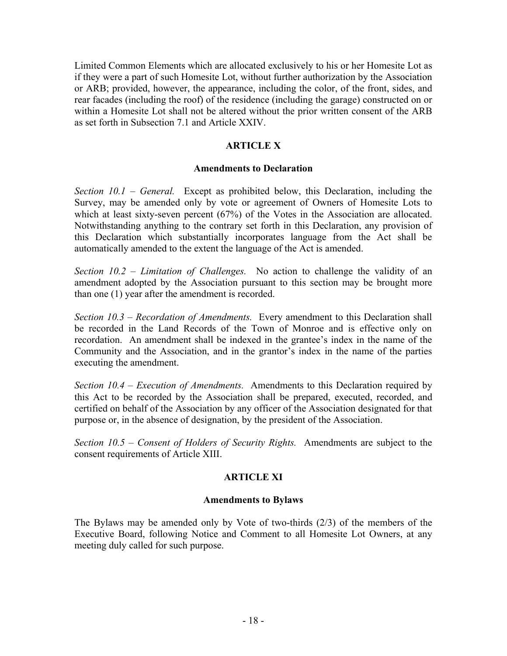Limited Common Elements which are allocated exclusively to his or her Homesite Lot as if they were a part of such Homesite Lot, without further authorization by the Association or ARB; provided, however, the appearance, including the color, of the front, sides, and rear facades (including the roof) of the residence (including the garage) constructed on or within a Homesite Lot shall not be altered without the prior written consent of the ARB as set forth in Subsection 7.1 and Article XXIV.

#### **ARTICLE X**

#### **Amendments to Declaration**

*Section 10.1 – General.* Except as prohibited below, this Declaration, including the Survey, may be amended only by vote or agreement of Owners of Homesite Lots to which at least sixty-seven percent (67%) of the Votes in the Association are allocated. Notwithstanding anything to the contrary set forth in this Declaration, any provision of this Declaration which substantially incorporates language from the Act shall be automatically amended to the extent the language of the Act is amended.

*Section 10.2 – Limitation of Challenges.* No action to challenge the validity of an amendment adopted by the Association pursuant to this section may be brought more than one (1) year after the amendment is recorded.

*Section 10.3 – Recordation of Amendments.* Every amendment to this Declaration shall be recorded in the Land Records of the Town of Monroe and is effective only on recordation. An amendment shall be indexed in the grantee's index in the name of the Community and the Association, and in the grantor's index in the name of the parties executing the amendment.

*Section 10.4 – Execution of Amendments.* Amendments to this Declaration required by this Act to be recorded by the Association shall be prepared, executed, recorded, and certified on behalf of the Association by any officer of the Association designated for that purpose or, in the absence of designation, by the president of the Association.

*Section 10.5 – Consent of Holders of Security Rights.* Amendments are subject to the consent requirements of Article XIII.

#### **ARTICLE XI**

#### **Amendments to Bylaws**

The Bylaws may be amended only by Vote of two-thirds (2/3) of the members of the Executive Board, following Notice and Comment to all Homesite Lot Owners, at any meeting duly called for such purpose.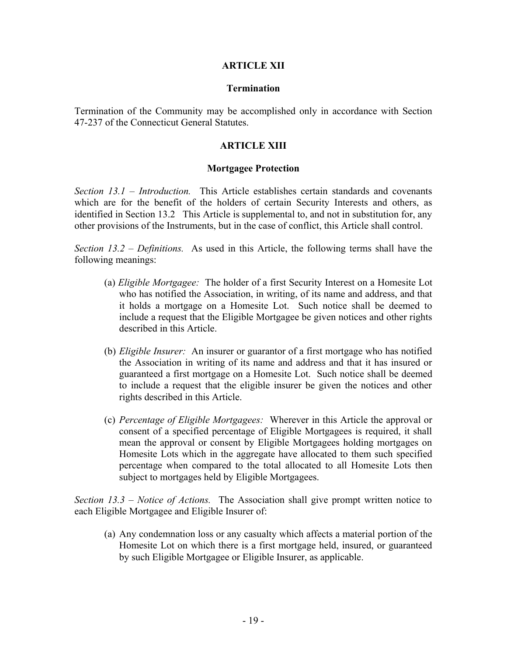#### **ARTICLE XII**

#### **Termination**

Termination of the Community may be accomplished only in accordance with Section 47-237 of the Connecticut General Statutes.

#### **ARTICLE XIII**

#### **Mortgagee Protection**

*Section 13.1 – Introduction.* This Article establishes certain standards and covenants which are for the benefit of the holders of certain Security Interests and others, as identified in Section 13.2 This Article is supplemental to, and not in substitution for, any other provisions of the Instruments, but in the case of conflict, this Article shall control.

*Section 13.2 – Definitions.* As used in this Article, the following terms shall have the following meanings:

- (a) *Eligible Mortgagee:* The holder of a first Security Interest on a Homesite Lot who has notified the Association, in writing, of its name and address, and that it holds a mortgage on a Homesite Lot. Such notice shall be deemed to include a request that the Eligible Mortgagee be given notices and other rights described in this Article.
- (b) *Eligible Insurer:* An insurer or guarantor of a first mortgage who has notified the Association in writing of its name and address and that it has insured or guaranteed a first mortgage on a Homesite Lot. Such notice shall be deemed to include a request that the eligible insurer be given the notices and other rights described in this Article.
- (c) *Percentage of Eligible Mortgagees:* Wherever in this Article the approval or consent of a specified percentage of Eligible Mortgagees is required, it shall mean the approval or consent by Eligible Mortgagees holding mortgages on Homesite Lots which in the aggregate have allocated to them such specified percentage when compared to the total allocated to all Homesite Lots then subject to mortgages held by Eligible Mortgagees.

*Section 13.3 – Notice of Actions.* The Association shall give prompt written notice to each Eligible Mortgagee and Eligible Insurer of:

(a) Any condemnation loss or any casualty which affects a material portion of the Homesite Lot on which there is a first mortgage held, insured, or guaranteed by such Eligible Mortgagee or Eligible Insurer, as applicable.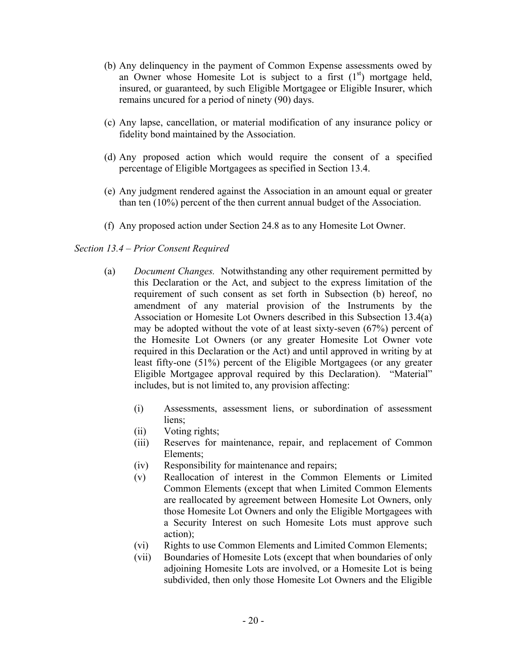- (b) Any delinquency in the payment of Common Expense assessments owed by an Owner whose Homesite Lot is subject to a first  $(1<sup>st</sup>)$  mortgage held, insured, or guaranteed, by such Eligible Mortgagee or Eligible Insurer, which remains uncured for a period of ninety (90) days.
- (c) Any lapse, cancellation, or material modification of any insurance policy or fidelity bond maintained by the Association.
- (d) Any proposed action which would require the consent of a specified percentage of Eligible Mortgagees as specified in Section 13.4.
- (e) Any judgment rendered against the Association in an amount equal or greater than ten (10%) percent of the then current annual budget of the Association.
- (f) Any proposed action under Section 24.8 as to any Homesite Lot Owner.

#### *Section 13.4 – Prior Consent Required*

- (a) *Document Changes.* Notwithstanding any other requirement permitted by this Declaration or the Act, and subject to the express limitation of the requirement of such consent as set forth in Subsection (b) hereof, no amendment of any material provision of the Instruments by the Association or Homesite Lot Owners described in this Subsection 13.4(a) may be adopted without the vote of at least sixty-seven (67%) percent of the Homesite Lot Owners (or any greater Homesite Lot Owner vote required in this Declaration or the Act) and until approved in writing by at least fifty-one (51%) percent of the Eligible Mortgagees (or any greater Eligible Mortgagee approval required by this Declaration). "Material" includes, but is not limited to, any provision affecting:
	- (i) Assessments, assessment liens, or subordination of assessment liens;
	- (ii) Voting rights;
	- (iii) Reserves for maintenance, repair, and replacement of Common Elements;
	- (iv) Responsibility for maintenance and repairs;
	- (v) Reallocation of interest in the Common Elements or Limited Common Elements (except that when Limited Common Elements are reallocated by agreement between Homesite Lot Owners, only those Homesite Lot Owners and only the Eligible Mortgagees with a Security Interest on such Homesite Lots must approve such action);
	- (vi) Rights to use Common Elements and Limited Common Elements;
	- (vii) Boundaries of Homesite Lots (except that when boundaries of only adjoining Homesite Lots are involved, or a Homesite Lot is being subdivided, then only those Homesite Lot Owners and the Eligible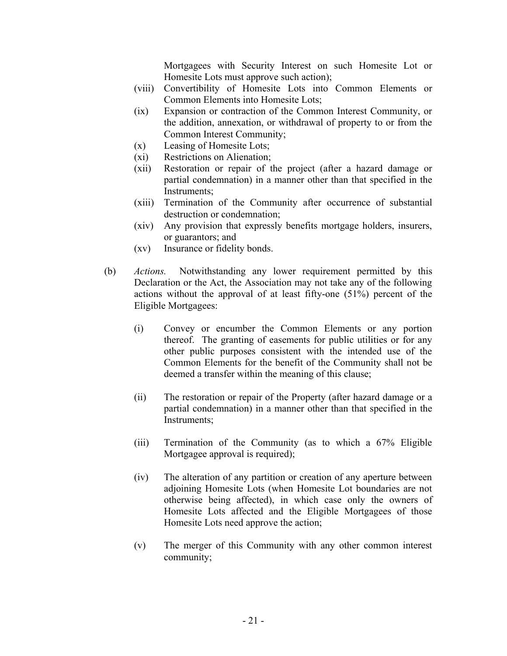Mortgagees with Security Interest on such Homesite Lot or Homesite Lots must approve such action);

- (viii) Convertibility of Homesite Lots into Common Elements or Common Elements into Homesite Lots;
- (ix) Expansion or contraction of the Common Interest Community, or the addition, annexation, or withdrawal of property to or from the Common Interest Community;
- (x) Leasing of Homesite Lots;
- (xi) Restrictions on Alienation;
- (xii) Restoration or repair of the project (after a hazard damage or partial condemnation) in a manner other than that specified in the Instruments;
- (xiii) Termination of the Community after occurrence of substantial destruction or condemnation;
- (xiv) Any provision that expressly benefits mortgage holders, insurers, or guarantors; and
- (xv) Insurance or fidelity bonds.
- (b) *Actions.* Notwithstanding any lower requirement permitted by this Declaration or the Act, the Association may not take any of the following actions without the approval of at least fifty-one (51%) percent of the Eligible Mortgagees:
	- (i) Convey or encumber the Common Elements or any portion thereof. The granting of easements for public utilities or for any other public purposes consistent with the intended use of the Common Elements for the benefit of the Community shall not be deemed a transfer within the meaning of this clause;
	- (ii) The restoration or repair of the Property (after hazard damage or a partial condemnation) in a manner other than that specified in the Instruments;
	- (iii) Termination of the Community (as to which a 67% Eligible Mortgagee approval is required);
	- (iv) The alteration of any partition or creation of any aperture between adjoining Homesite Lots (when Homesite Lot boundaries are not otherwise being affected), in which case only the owners of Homesite Lots affected and the Eligible Mortgagees of those Homesite Lots need approve the action;
	- (v) The merger of this Community with any other common interest community;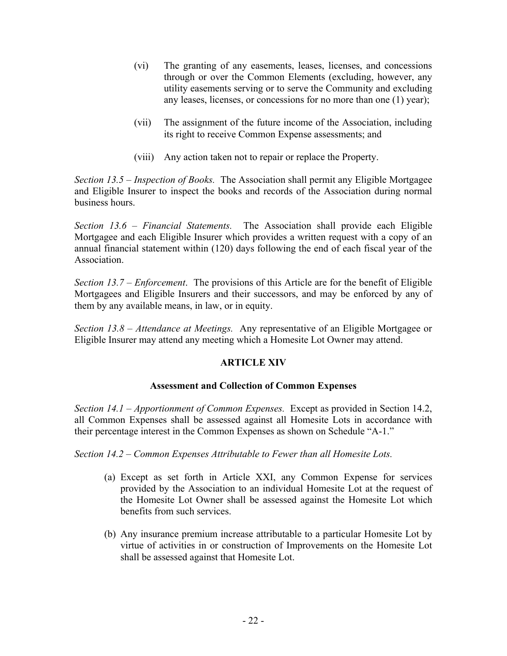- (vi) The granting of any easements, leases, licenses, and concessions through or over the Common Elements (excluding, however, any utility easements serving or to serve the Community and excluding any leases, licenses, or concessions for no more than one (1) year);
- (vii) The assignment of the future income of the Association, including its right to receive Common Expense assessments; and
- (viii) Any action taken not to repair or replace the Property.

*Section 13.5 – Inspection of Books.* The Association shall permit any Eligible Mortgagee and Eligible Insurer to inspect the books and records of the Association during normal business hours.

*Section 13.6 – Financial Statements.* The Association shall provide each Eligible Mortgagee and each Eligible Insurer which provides a written request with a copy of an annual financial statement within (120) days following the end of each fiscal year of the Association.

*Section 13.7 – Enforcement*. The provisions of this Article are for the benefit of Eligible Mortgagees and Eligible Insurers and their successors, and may be enforced by any of them by any available means, in law, or in equity.

*Section 13.8 – Attendance at Meetings.* Any representative of an Eligible Mortgagee or Eligible Insurer may attend any meeting which a Homesite Lot Owner may attend.

#### **ARTICLE XIV**

#### **Assessment and Collection of Common Expenses**

*Section 14.1 – Apportionment of Common Expenses.* Except as provided in Section 14.2, all Common Expenses shall be assessed against all Homesite Lots in accordance with their percentage interest in the Common Expenses as shown on Schedule "A-1."

*Section 14.2 – Common Expenses Attributable to Fewer than all Homesite Lots.* 

- (a) Except as set forth in Article XXI, any Common Expense for services provided by the Association to an individual Homesite Lot at the request of the Homesite Lot Owner shall be assessed against the Homesite Lot which benefits from such services.
- (b) Any insurance premium increase attributable to a particular Homesite Lot by virtue of activities in or construction of Improvements on the Homesite Lot shall be assessed against that Homesite Lot.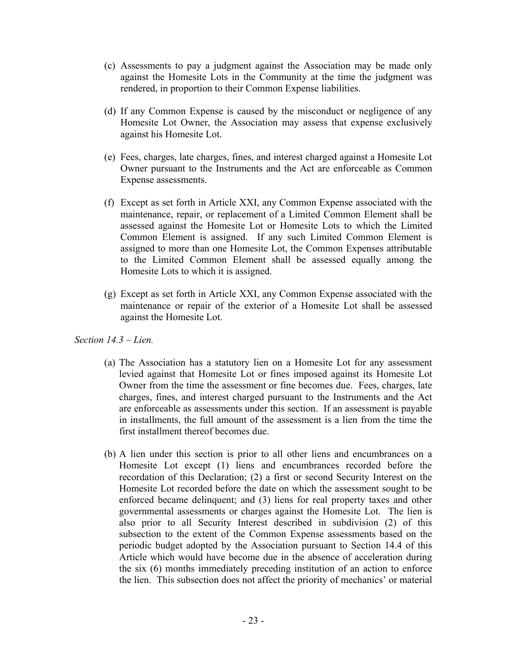- (c) Assessments to pay a judgment against the Association may be made only against the Homesite Lots in the Community at the time the judgment was rendered, in proportion to their Common Expense liabilities.
- (d) If any Common Expense is caused by the misconduct or negligence of any Homesite Lot Owner, the Association may assess that expense exclusively against his Homesite Lot.
- (e) Fees, charges, late charges, fines, and interest charged against a Homesite Lot Owner pursuant to the Instruments and the Act are enforceable as Common Expense assessments.
- (f) Except as set forth in Article XXI, any Common Expense associated with the maintenance, repair, or replacement of a Limited Common Element shall be assessed against the Homesite Lot or Homesite Lots to which the Limited Common Element is assigned. If any such Limited Common Element is assigned to more than one Homesite Lot, the Common Expenses attributable to the Limited Common Element shall be assessed equally among the Homesite Lots to which it is assigned.
- (g) Except as set forth in Article XXI, any Common Expense associated with the maintenance or repair of the exterior of a Homesite Lot shall be assessed against the Homesite Lot.

*Section 14.3 – Lien.* 

- (a) The Association has a statutory lien on a Homesite Lot for any assessment levied against that Homesite Lot or fines imposed against its Homesite Lot Owner from the time the assessment or fine becomes due. Fees, charges, late charges, fines, and interest charged pursuant to the Instruments and the Act are enforceable as assessments under this section. If an assessment is payable in installments, the full amount of the assessment is a lien from the time the first installment thereof becomes due.
- (b) A lien under this section is prior to all other liens and encumbrances on a Homesite Lot except (1) liens and encumbrances recorded before the recordation of this Declaration; (2) a first or second Security Interest on the Homesite Lot recorded before the date on which the assessment sought to be enforced became delinquent; and (3) liens for real property taxes and other governmental assessments or charges against the Homesite Lot. The lien is also prior to all Security Interest described in subdivision (2) of this subsection to the extent of the Common Expense assessments based on the periodic budget adopted by the Association pursuant to Section 14.4 of this Article which would have become due in the absence of acceleration during the six (6) months immediately preceding institution of an action to enforce the lien. This subsection does not affect the priority of mechanics' or material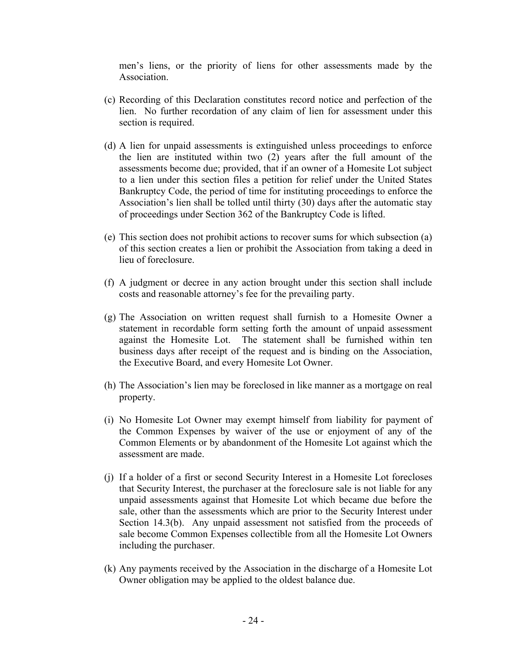men's liens, or the priority of liens for other assessments made by the **Association** 

- (c) Recording of this Declaration constitutes record notice and perfection of the lien. No further recordation of any claim of lien for assessment under this section is required.
- (d) A lien for unpaid assessments is extinguished unless proceedings to enforce the lien are instituted within two (2) years after the full amount of the assessments become due; provided, that if an owner of a Homesite Lot subject to a lien under this section files a petition for relief under the United States Bankruptcy Code, the period of time for instituting proceedings to enforce the Association's lien shall be tolled until thirty (30) days after the automatic stay of proceedings under Section 362 of the Bankruptcy Code is lifted.
- (e) This section does not prohibit actions to recover sums for which subsection (a) of this section creates a lien or prohibit the Association from taking a deed in lieu of foreclosure.
- (f) A judgment or decree in any action brought under this section shall include costs and reasonable attorney's fee for the prevailing party.
- (g) The Association on written request shall furnish to a Homesite Owner a statement in recordable form setting forth the amount of unpaid assessment against the Homesite Lot. The statement shall be furnished within ten business days after receipt of the request and is binding on the Association, the Executive Board, and every Homesite Lot Owner.
- (h) The Association's lien may be foreclosed in like manner as a mortgage on real property.
- (i) No Homesite Lot Owner may exempt himself from liability for payment of the Common Expenses by waiver of the use or enjoyment of any of the Common Elements or by abandonment of the Homesite Lot against which the assessment are made.
- (j) If a holder of a first or second Security Interest in a Homesite Lot forecloses that Security Interest, the purchaser at the foreclosure sale is not liable for any unpaid assessments against that Homesite Lot which became due before the sale, other than the assessments which are prior to the Security Interest under Section 14.3(b). Any unpaid assessment not satisfied from the proceeds of sale become Common Expenses collectible from all the Homesite Lot Owners including the purchaser.
- (k) Any payments received by the Association in the discharge of a Homesite Lot Owner obligation may be applied to the oldest balance due.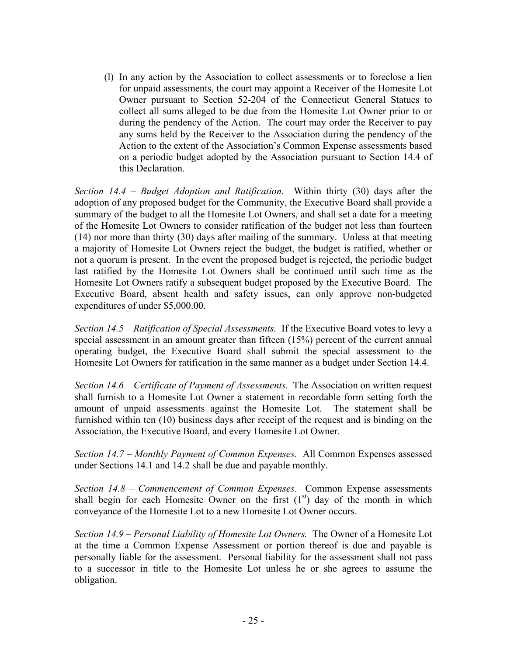(l) In any action by the Association to collect assessments or to foreclose a lien for unpaid assessments, the court may appoint a Receiver of the Homesite Lot Owner pursuant to Section 52-204 of the Connecticut General Statues to collect all sums alleged to be due from the Homesite Lot Owner prior to or during the pendency of the Action. The court may order the Receiver to pay any sums held by the Receiver to the Association during the pendency of the Action to the extent of the Association's Common Expense assessments based on a periodic budget adopted by the Association pursuant to Section 14.4 of this Declaration.

*Section 14.4 – Budget Adoption and Ratification.* Within thirty (30) days after the adoption of any proposed budget for the Community, the Executive Board shall provide a summary of the budget to all the Homesite Lot Owners, and shall set a date for a meeting of the Homesite Lot Owners to consider ratification of the budget not less than fourteen (14) nor more than thirty (30) days after mailing of the summary. Unless at that meeting a majority of Homesite Lot Owners reject the budget, the budget is ratified, whether or not a quorum is present. In the event the proposed budget is rejected, the periodic budget last ratified by the Homesite Lot Owners shall be continued until such time as the Homesite Lot Owners ratify a subsequent budget proposed by the Executive Board. The Executive Board, absent health and safety issues, can only approve non-budgeted expenditures of under \$5,000.00.

*Section 14.5 – Ratification of Special Assessments.* If the Executive Board votes to levy a special assessment in an amount greater than fifteen (15%) percent of the current annual operating budget, the Executive Board shall submit the special assessment to the Homesite Lot Owners for ratification in the same manner as a budget under Section 14.4.

*Section 14.6 – Certificate of Payment of Assessments.* The Association on written request shall furnish to a Homesite Lot Owner a statement in recordable form setting forth the amount of unpaid assessments against the Homesite Lot. The statement shall be furnished within ten (10) business days after receipt of the request and is binding on the Association, the Executive Board, and every Homesite Lot Owner.

*Section 14.7 – Monthly Payment of Common Expenses.* All Common Expenses assessed under Sections 14.1 and 14.2 shall be due and payable monthly.

*Section 14.8 – Commencement of Common Expenses.* Common Expense assessments shall begin for each Homesite Owner on the first  $(1<sup>st</sup>)$  day of the month in which conveyance of the Homesite Lot to a new Homesite Lot Owner occurs.

*Section 14.9 – Personal Liability of Homesite Lot Owners.* The Owner of a Homesite Lot at the time a Common Expense Assessment or portion thereof is due and payable is personally liable for the assessment. Personal liability for the assessment shall not pass to a successor in title to the Homesite Lot unless he or she agrees to assume the obligation.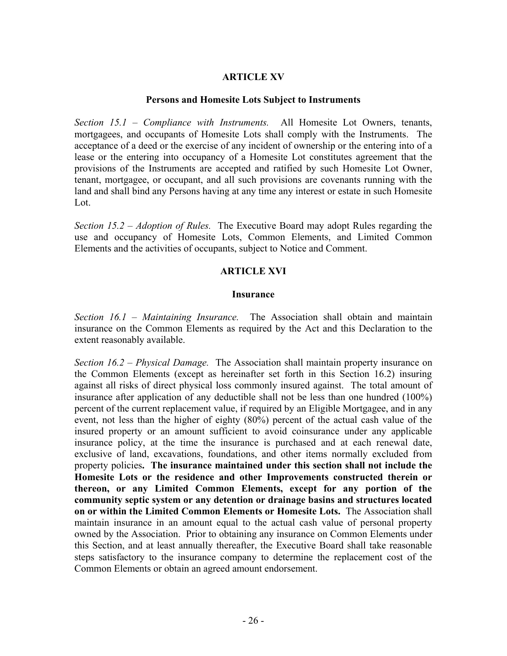#### **ARTICLE XV**

#### **Persons and Homesite Lots Subject to Instruments**

*Section 15.1 – Compliance with Instruments.* All Homesite Lot Owners, tenants, mortgagees, and occupants of Homesite Lots shall comply with the Instruments. The acceptance of a deed or the exercise of any incident of ownership or the entering into of a lease or the entering into occupancy of a Homesite Lot constitutes agreement that the provisions of the Instruments are accepted and ratified by such Homesite Lot Owner, tenant, mortgagee, or occupant, and all such provisions are covenants running with the land and shall bind any Persons having at any time any interest or estate in such Homesite Lot.

*Section 15.2 – Adoption of Rules.* The Executive Board may adopt Rules regarding the use and occupancy of Homesite Lots, Common Elements, and Limited Common Elements and the activities of occupants, subject to Notice and Comment.

#### **ARTICLE XVI**

#### **Insurance**

*Section 16.1 – Maintaining Insurance.* The Association shall obtain and maintain insurance on the Common Elements as required by the Act and this Declaration to the extent reasonably available.

*Section 16.2 – Physical Damage.* The Association shall maintain property insurance on the Common Elements (except as hereinafter set forth in this Section 16.2) insuring against all risks of direct physical loss commonly insured against. The total amount of insurance after application of any deductible shall not be less than one hundred (100%) percent of the current replacement value, if required by an Eligible Mortgagee, and in any event, not less than the higher of eighty (80%) percent of the actual cash value of the insured property or an amount sufficient to avoid coinsurance under any applicable insurance policy, at the time the insurance is purchased and at each renewal date, exclusive of land, excavations, foundations, and other items normally excluded from property policies**. The insurance maintained under this section shall not include the Homesite Lots or the residence and other Improvements constructed therein or thereon, or any Limited Common Elements, except for any portion of the community septic system or any detention or drainage basins and structures located on or within the Limited Common Elements or Homesite Lots.** The Association shall maintain insurance in an amount equal to the actual cash value of personal property owned by the Association. Prior to obtaining any insurance on Common Elements under this Section, and at least annually thereafter, the Executive Board shall take reasonable steps satisfactory to the insurance company to determine the replacement cost of the Common Elements or obtain an agreed amount endorsement.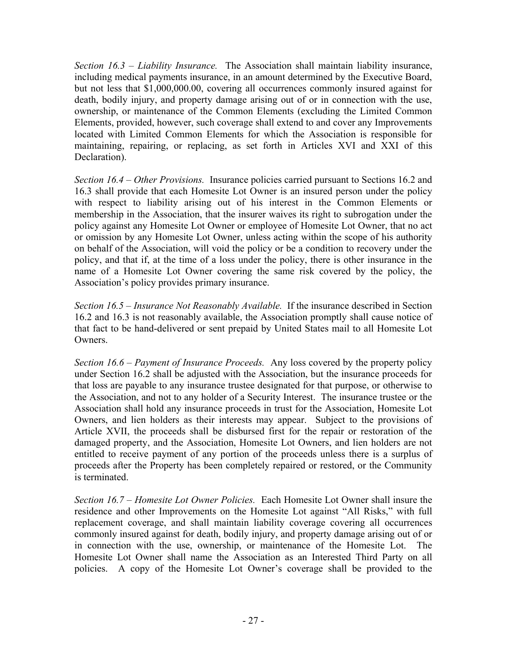*Section 16.3 – Liability Insurance.* The Association shall maintain liability insurance, including medical payments insurance, in an amount determined by the Executive Board, but not less that \$1,000,000.00, covering all occurrences commonly insured against for death, bodily injury, and property damage arising out of or in connection with the use, ownership, or maintenance of the Common Elements (excluding the Limited Common Elements, provided, however, such coverage shall extend to and cover any Improvements located with Limited Common Elements for which the Association is responsible for maintaining, repairing, or replacing, as set forth in Articles XVI and XXI of this Declaration).

*Section 16.4 – Other Provisions.* Insurance policies carried pursuant to Sections 16.2 and 16.3 shall provide that each Homesite Lot Owner is an insured person under the policy with respect to liability arising out of his interest in the Common Elements or membership in the Association, that the insurer waives its right to subrogation under the policy against any Homesite Lot Owner or employee of Homesite Lot Owner, that no act or omission by any Homesite Lot Owner, unless acting within the scope of his authority on behalf of the Association, will void the policy or be a condition to recovery under the policy, and that if, at the time of a loss under the policy, there is other insurance in the name of a Homesite Lot Owner covering the same risk covered by the policy, the Association's policy provides primary insurance.

*Section 16.5 – Insurance Not Reasonably Available.* If the insurance described in Section 16.2 and 16.3 is not reasonably available, the Association promptly shall cause notice of that fact to be hand-delivered or sent prepaid by United States mail to all Homesite Lot **Owners** 

*Section 16.6 – Payment of Insurance Proceeds.* Any loss covered by the property policy under Section 16.2 shall be adjusted with the Association, but the insurance proceeds for that loss are payable to any insurance trustee designated for that purpose, or otherwise to the Association, and not to any holder of a Security Interest. The insurance trustee or the Association shall hold any insurance proceeds in trust for the Association, Homesite Lot Owners, and lien holders as their interests may appear. Subject to the provisions of Article XVII, the proceeds shall be disbursed first for the repair or restoration of the damaged property, and the Association, Homesite Lot Owners, and lien holders are not entitled to receive payment of any portion of the proceeds unless there is a surplus of proceeds after the Property has been completely repaired or restored, or the Community is terminated.

*Section 16.7 – Homesite Lot Owner Policies.* Each Homesite Lot Owner shall insure the residence and other Improvements on the Homesite Lot against "All Risks," with full replacement coverage, and shall maintain liability coverage covering all occurrences commonly insured against for death, bodily injury, and property damage arising out of or in connection with the use, ownership, or maintenance of the Homesite Lot. The Homesite Lot Owner shall name the Association as an Interested Third Party on all policies. A copy of the Homesite Lot Owner's coverage shall be provided to the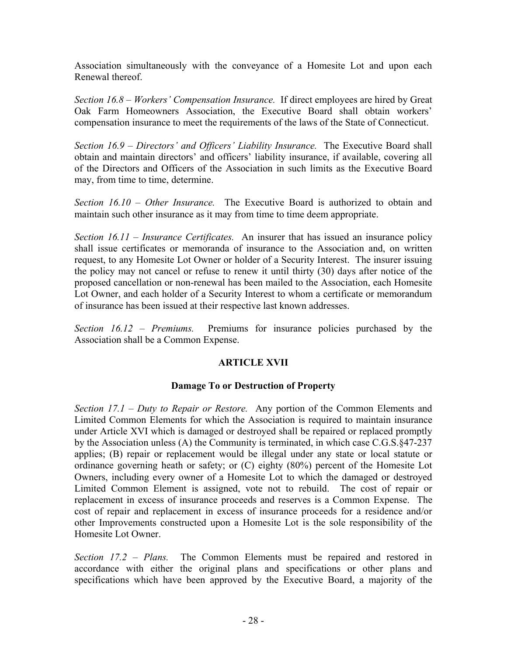Association simultaneously with the conveyance of a Homesite Lot and upon each Renewal thereof.

*Section 16.8 – Workers' Compensation Insurance.* If direct employees are hired by Great Oak Farm Homeowners Association, the Executive Board shall obtain workers' compensation insurance to meet the requirements of the laws of the State of Connecticut.

*Section 16.9 – Directors' and Officers' Liability Insurance.* The Executive Board shall obtain and maintain directors' and officers' liability insurance, if available, covering all of the Directors and Officers of the Association in such limits as the Executive Board may, from time to time, determine.

*Section 16.10 – Other Insurance.* The Executive Board is authorized to obtain and maintain such other insurance as it may from time to time deem appropriate.

*Section 16.11 – Insurance Certificates.* An insurer that has issued an insurance policy shall issue certificates or memoranda of insurance to the Association and, on written request, to any Homesite Lot Owner or holder of a Security Interest. The insurer issuing the policy may not cancel or refuse to renew it until thirty (30) days after notice of the proposed cancellation or non-renewal has been mailed to the Association, each Homesite Lot Owner, and each holder of a Security Interest to whom a certificate or memorandum of insurance has been issued at their respective last known addresses.

*Section 16.12 – Premiums.* Premiums for insurance policies purchased by the Association shall be a Common Expense.

#### **ARTICLE XVII**

#### **Damage To or Destruction of Property**

*Section 17.1 – Duty to Repair or Restore.* Any portion of the Common Elements and Limited Common Elements for which the Association is required to maintain insurance under Article XVI which is damaged or destroyed shall be repaired or replaced promptly by the Association unless (A) the Community is terminated, in which case C.G.S.§47-237 applies; (B) repair or replacement would be illegal under any state or local statute or ordinance governing heath or safety; or (C) eighty (80%) percent of the Homesite Lot Owners, including every owner of a Homesite Lot to which the damaged or destroyed Limited Common Element is assigned, vote not to rebuild. The cost of repair or replacement in excess of insurance proceeds and reserves is a Common Expense. The cost of repair and replacement in excess of insurance proceeds for a residence and/or other Improvements constructed upon a Homesite Lot is the sole responsibility of the Homesite Lot Owner.

*Section 17.2 – Plans.* The Common Elements must be repaired and restored in accordance with either the original plans and specifications or other plans and specifications which have been approved by the Executive Board, a majority of the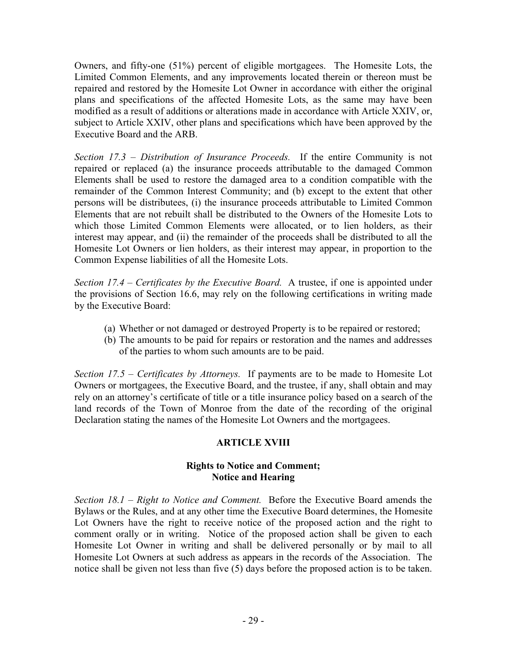Owners, and fifty-one (51%) percent of eligible mortgagees. The Homesite Lots, the Limited Common Elements, and any improvements located therein or thereon must be repaired and restored by the Homesite Lot Owner in accordance with either the original plans and specifications of the affected Homesite Lots, as the same may have been modified as a result of additions or alterations made in accordance with Article XXIV, or, subject to Article XXIV, other plans and specifications which have been approved by the Executive Board and the ARB.

*Section 17.3 – Distribution of Insurance Proceeds.* If the entire Community is not repaired or replaced (a) the insurance proceeds attributable to the damaged Common Elements shall be used to restore the damaged area to a condition compatible with the remainder of the Common Interest Community; and (b) except to the extent that other persons will be distributees, (i) the insurance proceeds attributable to Limited Common Elements that are not rebuilt shall be distributed to the Owners of the Homesite Lots to which those Limited Common Elements were allocated, or to lien holders, as their interest may appear, and (ii) the remainder of the proceeds shall be distributed to all the Homesite Lot Owners or lien holders, as their interest may appear, in proportion to the Common Expense liabilities of all the Homesite Lots.

*Section 17.4 – Certificates by the Executive Board.* A trustee, if one is appointed under the provisions of Section 16.6, may rely on the following certifications in writing made by the Executive Board:

- (a) Whether or not damaged or destroyed Property is to be repaired or restored;
- (b) The amounts to be paid for repairs or restoration and the names and addresses of the parties to whom such amounts are to be paid.

*Section 17.5 – Certificates by Attorneys.* If payments are to be made to Homesite Lot Owners or mortgagees, the Executive Board, and the trustee, if any, shall obtain and may rely on an attorney's certificate of title or a title insurance policy based on a search of the land records of the Town of Monroe from the date of the recording of the original Declaration stating the names of the Homesite Lot Owners and the mortgagees.

#### **ARTICLE XVIII**

#### **Rights to Notice and Comment; Notice and Hearing**

*Section 18.1 – Right to Notice and Comment.* Before the Executive Board amends the Bylaws or the Rules, and at any other time the Executive Board determines, the Homesite Lot Owners have the right to receive notice of the proposed action and the right to comment orally or in writing. Notice of the proposed action shall be given to each Homesite Lot Owner in writing and shall be delivered personally or by mail to all Homesite Lot Owners at such address as appears in the records of the Association. The notice shall be given not less than five (5) days before the proposed action is to be taken.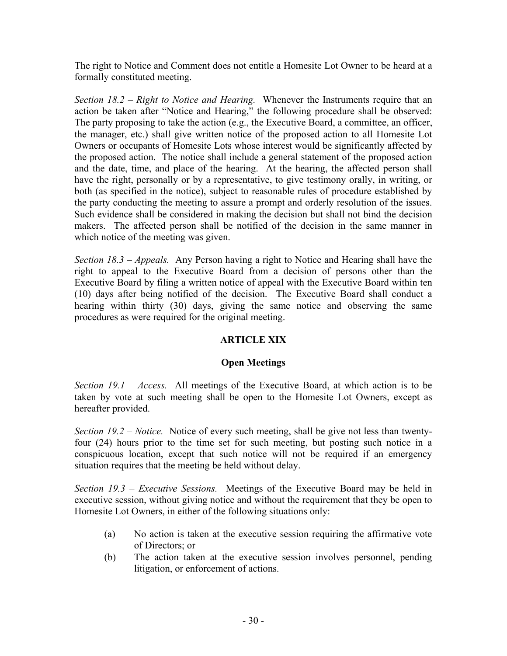The right to Notice and Comment does not entitle a Homesite Lot Owner to be heard at a formally constituted meeting.

*Section 18.2 – Right to Notice and Hearing.* Whenever the Instruments require that an action be taken after "Notice and Hearing," the following procedure shall be observed: The party proposing to take the action (e.g., the Executive Board, a committee, an officer, the manager, etc.) shall give written notice of the proposed action to all Homesite Lot Owners or occupants of Homesite Lots whose interest would be significantly affected by the proposed action. The notice shall include a general statement of the proposed action and the date, time, and place of the hearing. At the hearing, the affected person shall have the right, personally or by a representative, to give testimony orally, in writing, or both (as specified in the notice), subject to reasonable rules of procedure established by the party conducting the meeting to assure a prompt and orderly resolution of the issues. Such evidence shall be considered in making the decision but shall not bind the decision makers. The affected person shall be notified of the decision in the same manner in which notice of the meeting was given.

*Section 18.3 – Appeals.* Any Person having a right to Notice and Hearing shall have the right to appeal to the Executive Board from a decision of persons other than the Executive Board by filing a written notice of appeal with the Executive Board within ten (10) days after being notified of the decision. The Executive Board shall conduct a hearing within thirty (30) days, giving the same notice and observing the same procedures as were required for the original meeting.

#### **ARTICLE XIX**

#### **Open Meetings**

*Section 19.1 – Access.* All meetings of the Executive Board, at which action is to be taken by vote at such meeting shall be open to the Homesite Lot Owners, except as hereafter provided.

*Section 19.2 – Notice.* Notice of every such meeting, shall be give not less than twentyfour (24) hours prior to the time set for such meeting, but posting such notice in a conspicuous location, except that such notice will not be required if an emergency situation requires that the meeting be held without delay.

*Section 19.3 – Executive Sessions.* Meetings of the Executive Board may be held in executive session, without giving notice and without the requirement that they be open to Homesite Lot Owners, in either of the following situations only:

- (a) No action is taken at the executive session requiring the affirmative vote of Directors; or
- (b) The action taken at the executive session involves personnel, pending litigation, or enforcement of actions.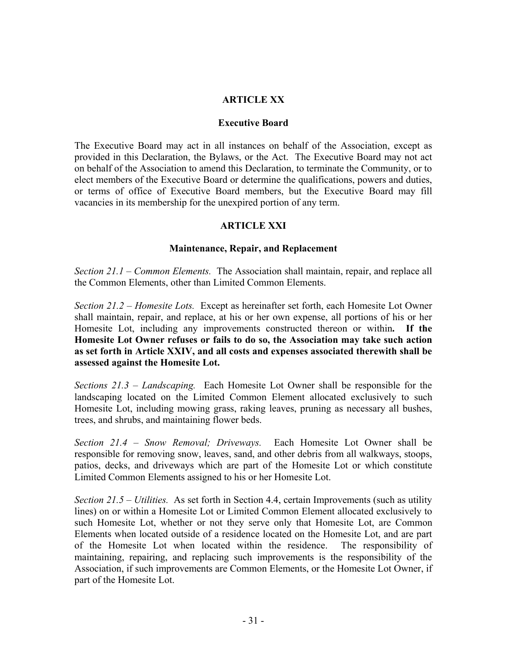#### **ARTICLE XX**

#### **Executive Board**

The Executive Board may act in all instances on behalf of the Association, except as provided in this Declaration, the Bylaws, or the Act. The Executive Board may not act on behalf of the Association to amend this Declaration, to terminate the Community, or to elect members of the Executive Board or determine the qualifications, powers and duties, or terms of office of Executive Board members, but the Executive Board may fill vacancies in its membership for the unexpired portion of any term.

#### **ARTICLE XXI**

#### **Maintenance, Repair, and Replacement**

*Section 21.1 – Common Elements.* The Association shall maintain, repair, and replace all the Common Elements, other than Limited Common Elements.

*Section 21.2 – Homesite Lots.* Except as hereinafter set forth, each Homesite Lot Owner shall maintain, repair, and replace, at his or her own expense, all portions of his or her Homesite Lot, including any improvements constructed thereon or within**. If the Homesite Lot Owner refuses or fails to do so, the Association may take such action as set forth in Article XXIV, and all costs and expenses associated therewith shall be assessed against the Homesite Lot.** 

*Sections 21.3 – Landscaping.* Each Homesite Lot Owner shall be responsible for the landscaping located on the Limited Common Element allocated exclusively to such Homesite Lot, including mowing grass, raking leaves, pruning as necessary all bushes, trees, and shrubs, and maintaining flower beds.

*Section 21.4 – Snow Removal; Driveways.* Each Homesite Lot Owner shall be responsible for removing snow, leaves, sand, and other debris from all walkways, stoops, patios, decks, and driveways which are part of the Homesite Lot or which constitute Limited Common Elements assigned to his or her Homesite Lot.

*Section 21.5 – Utilities.* As set forth in Section 4.4, certain Improvements (such as utility lines) on or within a Homesite Lot or Limited Common Element allocated exclusively to such Homesite Lot, whether or not they serve only that Homesite Lot, are Common Elements when located outside of a residence located on the Homesite Lot, and are part of the Homesite Lot when located within the residence. The responsibility of maintaining, repairing, and replacing such improvements is the responsibility of the Association, if such improvements are Common Elements, or the Homesite Lot Owner, if part of the Homesite Lot.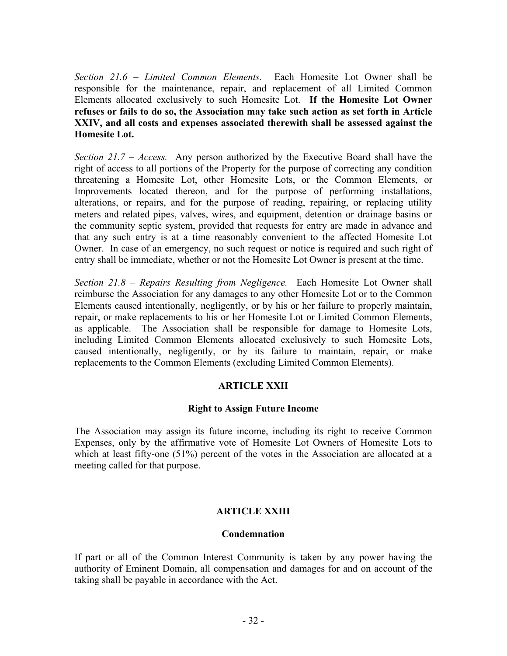*Section 21.6 – Limited Common Elements.* Each Homesite Lot Owner shall be responsible for the maintenance, repair, and replacement of all Limited Common Elements allocated exclusively to such Homesite Lot. **If the Homesite Lot Owner refuses or fails to do so, the Association may take such action as set forth in Article XXIV, and all costs and expenses associated therewith shall be assessed against the Homesite Lot.** 

*Section 21.7 – Access.* Any person authorized by the Executive Board shall have the right of access to all portions of the Property for the purpose of correcting any condition threatening a Homesite Lot, other Homesite Lots, or the Common Elements, or Improvements located thereon, and for the purpose of performing installations, alterations, or repairs, and for the purpose of reading, repairing, or replacing utility meters and related pipes, valves, wires, and equipment, detention or drainage basins or the community septic system, provided that requests for entry are made in advance and that any such entry is at a time reasonably convenient to the affected Homesite Lot Owner. In case of an emergency, no such request or notice is required and such right of entry shall be immediate, whether or not the Homesite Lot Owner is present at the time.

*Section 21.8 – Repairs Resulting from Negligence.* Each Homesite Lot Owner shall reimburse the Association for any damages to any other Homesite Lot or to the Common Elements caused intentionally, negligently, or by his or her failure to properly maintain, repair, or make replacements to his or her Homesite Lot or Limited Common Elements, as applicable. The Association shall be responsible for damage to Homesite Lots, including Limited Common Elements allocated exclusively to such Homesite Lots, caused intentionally, negligently, or by its failure to maintain, repair, or make replacements to the Common Elements (excluding Limited Common Elements).

#### **ARTICLE XXII**

#### **Right to Assign Future Income**

The Association may assign its future income, including its right to receive Common Expenses, only by the affirmative vote of Homesite Lot Owners of Homesite Lots to which at least fifty-one (51%) percent of the votes in the Association are allocated at a meeting called for that purpose.

#### **ARTICLE XXIII**

#### **Condemnation**

If part or all of the Common Interest Community is taken by any power having the authority of Eminent Domain, all compensation and damages for and on account of the taking shall be payable in accordance with the Act.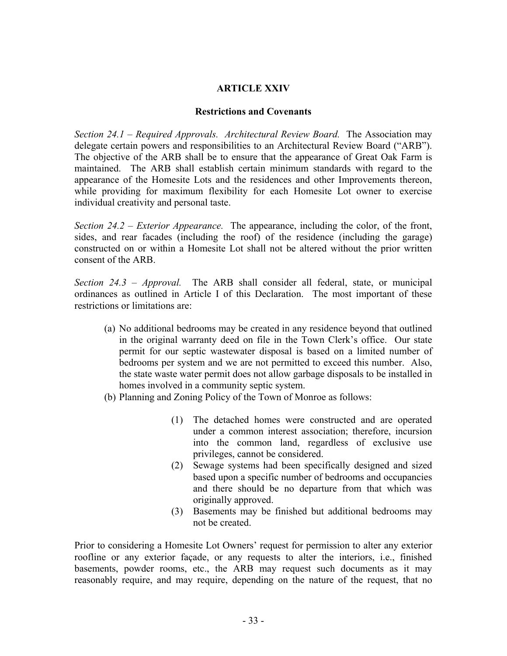#### **ARTICLE XXIV**

#### **Restrictions and Covenants**

*Section 24.1 – Required Approvals. Architectural Review Board.* The Association may delegate certain powers and responsibilities to an Architectural Review Board ("ARB"). The objective of the ARB shall be to ensure that the appearance of Great Oak Farm is maintained. The ARB shall establish certain minimum standards with regard to the appearance of the Homesite Lots and the residences and other Improvements thereon, while providing for maximum flexibility for each Homesite Lot owner to exercise individual creativity and personal taste.

*Section 24.2 – Exterior Appearance.* The appearance, including the color, of the front, sides, and rear facades (including the roof) of the residence (including the garage) constructed on or within a Homesite Lot shall not be altered without the prior written consent of the ARB.

*Section 24.3 – Approval.* The ARB shall consider all federal, state, or municipal ordinances as outlined in Article I of this Declaration. The most important of these restrictions or limitations are:

- (a) No additional bedrooms may be created in any residence beyond that outlined in the original warranty deed on file in the Town Clerk's office. Our state permit for our septic wastewater disposal is based on a limited number of bedrooms per system and we are not permitted to exceed this number. Also, the state waste water permit does not allow garbage disposals to be installed in homes involved in a community septic system.
- (b) Planning and Zoning Policy of the Town of Monroe as follows:
	- (1) The detached homes were constructed and are operated under a common interest association; therefore, incursion into the common land, regardless of exclusive use privileges, cannot be considered.
	- (2) Sewage systems had been specifically designed and sized based upon a specific number of bedrooms and occupancies and there should be no departure from that which was originally approved.
	- (3) Basements may be finished but additional bedrooms may not be created.

Prior to considering a Homesite Lot Owners' request for permission to alter any exterior roofline or any exterior façade, or any requests to alter the interiors, i.e., finished basements, powder rooms, etc., the ARB may request such documents as it may reasonably require, and may require, depending on the nature of the request, that no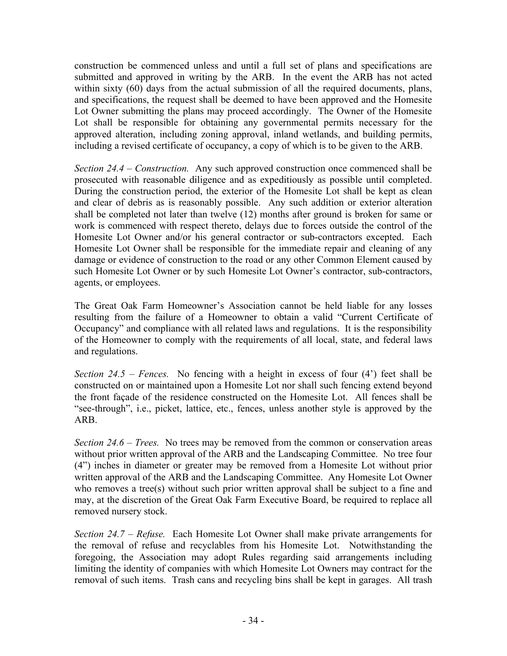construction be commenced unless and until a full set of plans and specifications are submitted and approved in writing by the ARB. In the event the ARB has not acted within sixty (60) days from the actual submission of all the required documents, plans, and specifications, the request shall be deemed to have been approved and the Homesite Lot Owner submitting the plans may proceed accordingly. The Owner of the Homesite Lot shall be responsible for obtaining any governmental permits necessary for the approved alteration, including zoning approval, inland wetlands, and building permits, including a revised certificate of occupancy, a copy of which is to be given to the ARB.

*Section 24.4 – Construction.* Any such approved construction once commenced shall be prosecuted with reasonable diligence and as expeditiously as possible until completed. During the construction period, the exterior of the Homesite Lot shall be kept as clean and clear of debris as is reasonably possible. Any such addition or exterior alteration shall be completed not later than twelve (12) months after ground is broken for same or work is commenced with respect thereto, delays due to forces outside the control of the Homesite Lot Owner and/or his general contractor or sub-contractors excepted. Each Homesite Lot Owner shall be responsible for the immediate repair and cleaning of any damage or evidence of construction to the road or any other Common Element caused by such Homesite Lot Owner or by such Homesite Lot Owner's contractor, sub-contractors, agents, or employees.

The Great Oak Farm Homeowner's Association cannot be held liable for any losses resulting from the failure of a Homeowner to obtain a valid "Current Certificate of Occupancy" and compliance with all related laws and regulations. It is the responsibility of the Homeowner to comply with the requirements of all local, state, and federal laws and regulations.

*Section 24.5 – Fences.* No fencing with a height in excess of four (4') feet shall be constructed on or maintained upon a Homesite Lot nor shall such fencing extend beyond the front façade of the residence constructed on the Homesite Lot. All fences shall be "see-through", i.e., picket, lattice, etc., fences, unless another style is approved by the ARB.

*Section 24.6 – Trees.* No trees may be removed from the common or conservation areas without prior written approval of the ARB and the Landscaping Committee. No tree four (4") inches in diameter or greater may be removed from a Homesite Lot without prior written approval of the ARB and the Landscaping Committee. Any Homesite Lot Owner who removes a tree(s) without such prior written approval shall be subject to a fine and may, at the discretion of the Great Oak Farm Executive Board, be required to replace all removed nursery stock.

*Section 24.7 – Refuse.* Each Homesite Lot Owner shall make private arrangements for the removal of refuse and recyclables from his Homesite Lot. Notwithstanding the foregoing, the Association may adopt Rules regarding said arrangements including limiting the identity of companies with which Homesite Lot Owners may contract for the removal of such items. Trash cans and recycling bins shall be kept in garages. All trash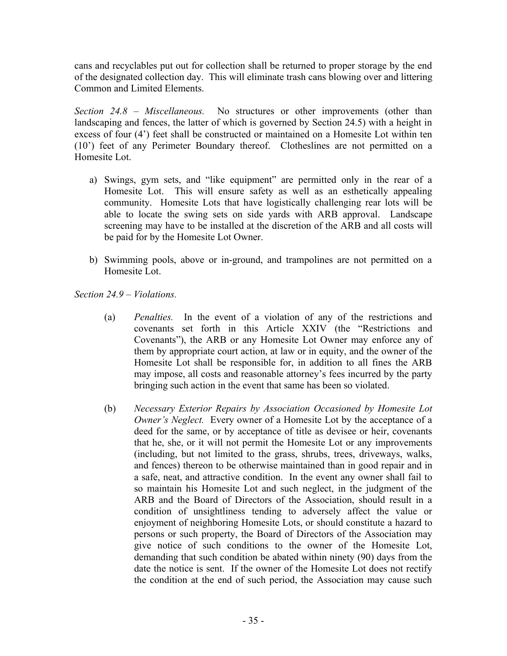cans and recyclables put out for collection shall be returned to proper storage by the end of the designated collection day. This will eliminate trash cans blowing over and littering Common and Limited Elements.

*Section 24.8 – Miscellaneous.* No structures or other improvements (other than landscaping and fences, the latter of which is governed by Section 24.5) with a height in excess of four (4') feet shall be constructed or maintained on a Homesite Lot within ten (10') feet of any Perimeter Boundary thereof. Clotheslines are not permitted on a Homesite Lot.

- a) Swings, gym sets, and "like equipment" are permitted only in the rear of a Homesite Lot. This will ensure safety as well as an esthetically appealing community. Homesite Lots that have logistically challenging rear lots will be able to locate the swing sets on side yards with ARB approval. Landscape screening may have to be installed at the discretion of the ARB and all costs will be paid for by the Homesite Lot Owner.
- b) Swimming pools, above or in-ground, and trampolines are not permitted on a Homesite Lot.

*Section 24.9 – Violations.* 

- (a) *Penalties.* In the event of a violation of any of the restrictions and covenants set forth in this Article XXIV (the "Restrictions and Covenants"), the ARB or any Homesite Lot Owner may enforce any of them by appropriate court action, at law or in equity, and the owner of the Homesite Lot shall be responsible for, in addition to all fines the ARB may impose, all costs and reasonable attorney's fees incurred by the party bringing such action in the event that same has been so violated.
- (b) *Necessary Exterior Repairs by Association Occasioned by Homesite Lot Owner's Neglect.* Every owner of a Homesite Lot by the acceptance of a deed for the same, or by acceptance of title as devisee or heir, covenants that he, she, or it will not permit the Homesite Lot or any improvements (including, but not limited to the grass, shrubs, trees, driveways, walks, and fences) thereon to be otherwise maintained than in good repair and in a safe, neat, and attractive condition. In the event any owner shall fail to so maintain his Homesite Lot and such neglect, in the judgment of the ARB and the Board of Directors of the Association, should result in a condition of unsightliness tending to adversely affect the value or enjoyment of neighboring Homesite Lots, or should constitute a hazard to persons or such property, the Board of Directors of the Association may give notice of such conditions to the owner of the Homesite Lot, demanding that such condition be abated within ninety (90) days from the date the notice is sent. If the owner of the Homesite Lot does not rectify the condition at the end of such period, the Association may cause such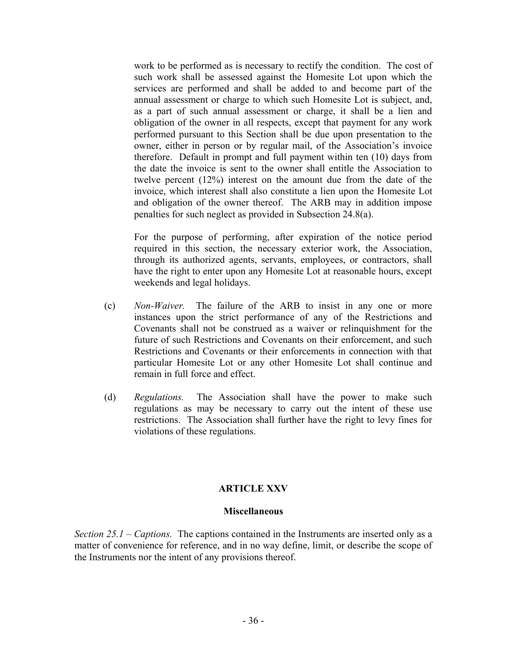work to be performed as is necessary to rectify the condition. The cost of such work shall be assessed against the Homesite Lot upon which the services are performed and shall be added to and become part of the annual assessment or charge to which such Homesite Lot is subject, and, as a part of such annual assessment or charge, it shall be a lien and obligation of the owner in all respects, except that payment for any work performed pursuant to this Section shall be due upon presentation to the owner, either in person or by regular mail, of the Association's invoice therefore. Default in prompt and full payment within ten (10) days from the date the invoice is sent to the owner shall entitle the Association to twelve percent (12%) interest on the amount due from the date of the invoice, which interest shall also constitute a lien upon the Homesite Lot and obligation of the owner thereof. The ARB may in addition impose penalties for such neglect as provided in Subsection 24.8(a).

For the purpose of performing, after expiration of the notice period required in this section, the necessary exterior work, the Association, through its authorized agents, servants, employees, or contractors, shall have the right to enter upon any Homesite Lot at reasonable hours, except weekends and legal holidays.

- (c) *Non-Waiver.* The failure of the ARB to insist in any one or more instances upon the strict performance of any of the Restrictions and Covenants shall not be construed as a waiver or relinquishment for the future of such Restrictions and Covenants on their enforcement, and such Restrictions and Covenants or their enforcements in connection with that particular Homesite Lot or any other Homesite Lot shall continue and remain in full force and effect.
- (d) *Regulations.* The Association shall have the power to make such regulations as may be necessary to carry out the intent of these use restrictions. The Association shall further have the right to levy fines for violations of these regulations.

#### **ARTICLE XXV**

#### **Miscellaneous**

*Section 25.1 – Captions.* The captions contained in the Instruments are inserted only as a matter of convenience for reference, and in no way define, limit, or describe the scope of the Instruments nor the intent of any provisions thereof.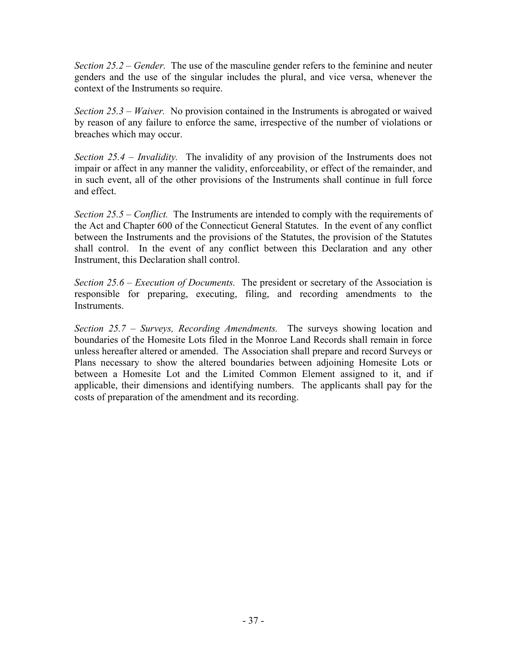*Section 25.2 – Gender.* The use of the masculine gender refers to the feminine and neuter genders and the use of the singular includes the plural, and vice versa, whenever the context of the Instruments so require.

*Section 25.3 – Waiver.* No provision contained in the Instruments is abrogated or waived by reason of any failure to enforce the same, irrespective of the number of violations or breaches which may occur.

*Section 25.4 – Invalidity.* The invalidity of any provision of the Instruments does not impair or affect in any manner the validity, enforceability, or effect of the remainder, and in such event, all of the other provisions of the Instruments shall continue in full force and effect.

*Section 25.5 – Conflict.* The Instruments are intended to comply with the requirements of the Act and Chapter 600 of the Connecticut General Statutes. In the event of any conflict between the Instruments and the provisions of the Statutes, the provision of the Statutes shall control. In the event of any conflict between this Declaration and any other Instrument, this Declaration shall control.

*Section 25.6 – Execution of Documents.* The president or secretary of the Association is responsible for preparing, executing, filing, and recording amendments to the Instruments.

*Section 25.7 – Surveys, Recording Amendments.* The surveys showing location and boundaries of the Homesite Lots filed in the Monroe Land Records shall remain in force unless hereafter altered or amended. The Association shall prepare and record Surveys or Plans necessary to show the altered boundaries between adjoining Homesite Lots or between a Homesite Lot and the Limited Common Element assigned to it, and if applicable, their dimensions and identifying numbers. The applicants shall pay for the costs of preparation of the amendment and its recording.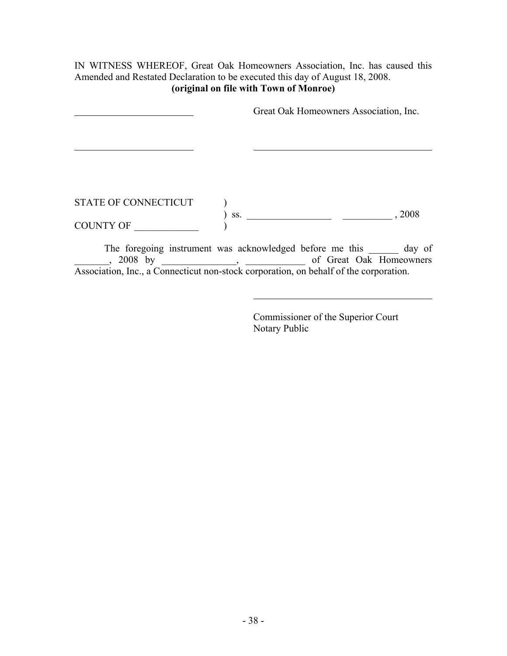#### IN WITNESS WHEREOF, Great Oak Homeowners Association, Inc. has caused this Amended and Restated Declaration to be executed this day of August 18, 2008. **(original on file with Town of Monroe)**

|                             |     | Great Oak Homeowners Association, Inc. |  |
|-----------------------------|-----|----------------------------------------|--|
|                             |     |                                        |  |
|                             |     |                                        |  |
| <b>STATE OF CONNECTICUT</b> |     |                                        |  |
| <b>COUNTY OF</b>            | SS. | , 2008                                 |  |

The foregoing instrument was acknowledged before me this \_\_\_\_\_\_\_ day of and the same of Great Oak Homeowners and S2008 by  $\sim$  of Great Oak Homeowners Association, Inc., a Connecticut non-stock corporation, on behalf of the corporation.

> Commissioner of the Superior Court Notary Public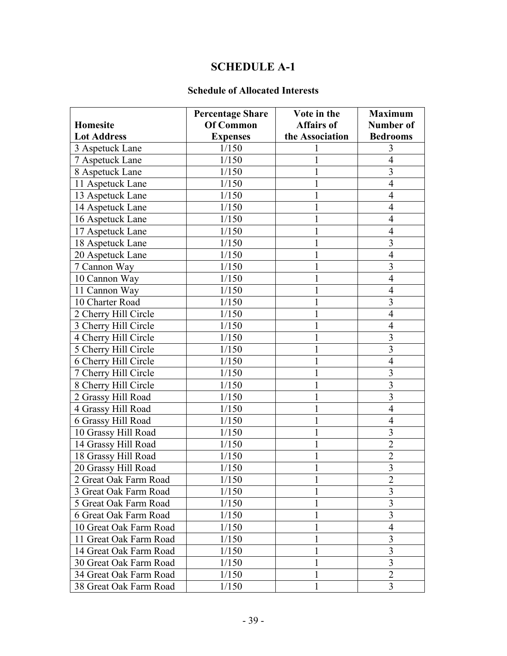## **SCHEDULE A-1**

#### **Schedule of Allocated Interests**

|                        | <b>Percentage Share</b> | Vote in the       | <b>Maximum</b>   |
|------------------------|-------------------------|-------------------|------------------|
| Homesite               | <b>Of Common</b>        | <b>Affairs of</b> | <b>Number of</b> |
| <b>Lot Address</b>     | <b>Expenses</b>         | the Association   | <b>Bedrooms</b>  |
| 3 Aspetuck Lane        | 1/150                   |                   | 3                |
| 7 Aspetuck Lane        | 1/150                   |                   | $\overline{4}$   |
| 8 Aspetuck Lane        | 1/150                   |                   | 3                |
| 11 Aspetuck Lane       | 1/150                   |                   | $\overline{4}$   |
| 13 Aspetuck Lane       | 1/150                   |                   | $\overline{4}$   |
| 14 Aspetuck Lane       | 1/150                   |                   | $\overline{4}$   |
| 16 Aspetuck Lane       | 1/150                   |                   | $\overline{4}$   |
| 17 Aspetuck Lane       | 1/150                   |                   | $\overline{4}$   |
| 18 Aspetuck Lane       | 1/150                   |                   | 3                |
| 20 Aspetuck Lane       | 1/150                   |                   | $\overline{4}$   |
| 7 Cannon Way           | 1/150                   | 1                 | 3                |
| 10 Cannon Way          | 1/150                   |                   | $\overline{4}$   |
| 11 Cannon Way          | 1/150                   |                   | $\overline{4}$   |
| 10 Charter Road        | 1/150                   |                   | 3                |
| 2 Cherry Hill Circle   | 1/150                   |                   | $\overline{4}$   |
| 3 Cherry Hill Circle   | 1/150                   |                   | 4                |
| 4 Cherry Hill Circle   | 1/150                   |                   | 3                |
| 5 Cherry Hill Circle   | 1/150                   |                   | $\overline{3}$   |
| 6 Cherry Hill Circle   | 1/150                   |                   | $\overline{4}$   |
| 7 Cherry Hill Circle   | 1/150                   |                   | 3                |
| 8 Cherry Hill Circle   | 1/150                   |                   | $\overline{3}$   |
| 2 Grassy Hill Road     | 1/150                   |                   | 3                |
| 4 Grassy Hill Road     | 1/150                   |                   | $\overline{4}$   |
| 6 Grassy Hill Road     | 1/150                   | 1                 | $\overline{4}$   |
| 10 Grassy Hill Road    | 1/150                   |                   | $\overline{3}$   |
| 14 Grassy Hill Road    | 1/150                   |                   | $\overline{2}$   |
| 18 Grassy Hill Road    | 1/150                   | 1                 | $\overline{2}$   |
| 20 Grassy Hill Road    | 1/150                   | 1                 | $\overline{3}$   |
| 2 Great Oak Farm Road  | 1/150                   | $\mathbf{1}$      | $\overline{2}$   |
| 3 Great Oak Farm Road  | 1/150                   | 1                 | 3                |
| 5 Great Oak Farm Road  | 1/150                   | 1                 | 3                |
| 6 Great Oak Farm Road  | 1/150                   | 1                 | 3                |
| 10 Great Oak Farm Road | 1/150                   | 1                 | 4                |
| 11 Great Oak Farm Road | 1/150                   | 1                 | 3                |
| 14 Great Oak Farm Road | 1/150                   | 1                 | 3                |
| 30 Great Oak Farm Road | 1/150                   | 1                 | 3                |
| 34 Great Oak Farm Road | 1/150                   | 1                 | $\overline{2}$   |
| 38 Great Oak Farm Road | 1/150                   | 1                 | 3                |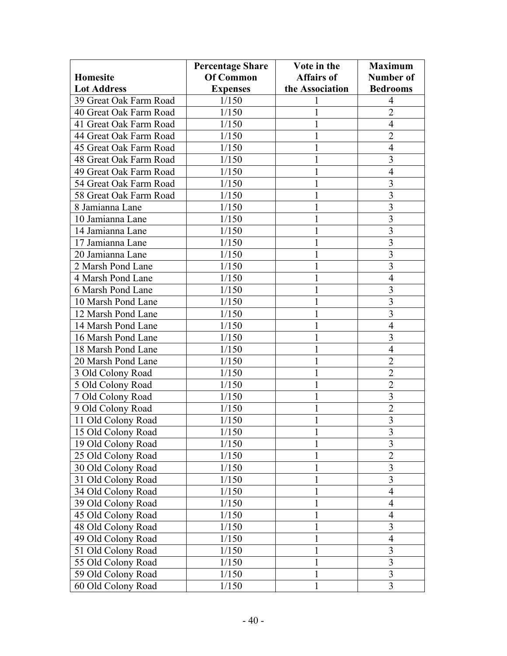|                        | <b>Percentage Share</b> | Vote in the       | <b>Maximum</b>          |
|------------------------|-------------------------|-------------------|-------------------------|
| <b>Homesite</b>        | Of Common               | <b>Affairs of</b> | Number of               |
| <b>Lot Address</b>     | <b>Expenses</b>         | the Association   | <b>Bedrooms</b>         |
| 39 Great Oak Farm Road | 1/150                   |                   | 4                       |
| 40 Great Oak Farm Road | 1/150                   |                   | $\overline{2}$          |
| 41 Great Oak Farm Road | 1/150                   |                   | $\overline{4}$          |
| 44 Great Oak Farm Road | 1/150                   |                   | $\overline{2}$          |
| 45 Great Oak Farm Road | 1/150                   |                   | $\overline{4}$          |
| 48 Great Oak Farm Road | 1/150                   |                   | 3                       |
| 49 Great Oak Farm Road | 1/150                   |                   | $\overline{4}$          |
| 54 Great Oak Farm Road | 1/150                   |                   | 3                       |
| 58 Great Oak Farm Road | 1/150                   |                   | 3                       |
| 8 Jamianna Lane        | 1/150                   |                   | $\overline{3}$          |
| 10 Jamianna Lane       | 1/150                   |                   | $\overline{\mathbf{3}}$ |
| 14 Jamianna Lane       | 1/150                   |                   | $\overline{\mathbf{3}}$ |
| 17 Jamianna Lane       | 1/150                   |                   | $\overline{3}$          |
| 20 Jamianna Lane       | 1/150                   |                   | $\overline{3}$          |
| 2 Marsh Pond Lane      | 1/150                   |                   | $\overline{3}$          |
| 4 Marsh Pond Lane      | 1/150                   |                   | $\overline{4}$          |
| 6 Marsh Pond Lane      | 1/150                   |                   | $\overline{3}$          |
| 10 Marsh Pond Lane     | 1/150                   |                   | 3                       |
| 12 Marsh Pond Lane     | 1/150                   |                   | 3                       |
| 14 Marsh Pond Lane     | 1/150                   |                   | $\overline{4}$          |
| 16 Marsh Pond Lane     | 1/150                   |                   | 3                       |
| 18 Marsh Pond Lane     | 1/150                   |                   | $\overline{4}$          |
| 20 Marsh Pond Lane     | 1/150                   |                   | $\overline{2}$          |
| 3 Old Colony Road      | 1/150                   |                   | $\overline{2}$          |
| 5 Old Colony Road      | 1/150                   |                   | $\overline{2}$          |
| 7 Old Colony Road      | 1/150                   |                   | 3                       |
| 9 Old Colony Road      | 1/150                   |                   | $\overline{2}$          |
| 11 Old Colony Road     | 1/150                   |                   | $\overline{\mathbf{3}}$ |
| 15 Old Colony Road     | 1/150                   |                   | $\overline{\mathbf{3}}$ |
| 19 Old Colony Road     | 1/150                   |                   | $\overline{3}$          |
| 25 Old Colony Road     | 1/150                   |                   | $\overline{2}$          |
| 30 Old Colony Road     | 1/150                   |                   | $\overline{3}$          |
| 31 Old Colony Road     | 1/150                   |                   | $\overline{3}$          |
| 34 Old Colony Road     | 1/150                   | 1                 | $\overline{4}$          |
| 39 Old Colony Road     | 1/150                   |                   | $\overline{4}$          |
| 45 Old Colony Road     | 1/150                   |                   | $\overline{4}$          |
| 48 Old Colony Road     | 1/150                   | 1                 | $\overline{\mathbf{3}}$ |
| 49 Old Colony Road     | 1/150                   |                   | 4                       |
| 51 Old Colony Road     | 1/150                   | 1                 | $\overline{3}$          |
| 55 Old Colony Road     | 1/150                   |                   | $\overline{3}$          |
| 59 Old Colony Road     | 1/150                   | 1                 | $\overline{3}$          |
| 60 Old Colony Road     | 1/150                   | 1                 | 3                       |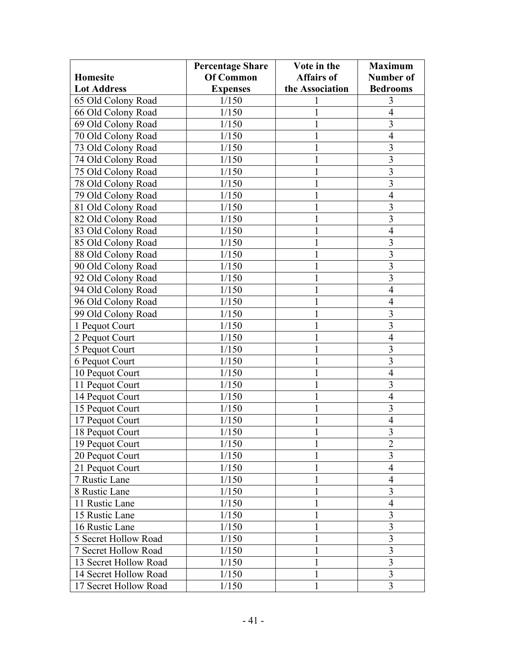|                       | <b>Percentage Share</b> | Vote in the       | <b>Maximum</b>          |
|-----------------------|-------------------------|-------------------|-------------------------|
| <b>Homesite</b>       | Of Common               | <b>Affairs of</b> | Number of               |
| <b>Lot Address</b>    | <b>Expenses</b>         | the Association   | <b>Bedrooms</b>         |
| 65 Old Colony Road    | 1/150                   |                   | 3                       |
| 66 Old Colony Road    | 1/150                   |                   | 4                       |
| 69 Old Colony Road    | 1/150                   |                   | 3                       |
| 70 Old Colony Road    | 1/150                   |                   | 4                       |
| 73 Old Colony Road    | 1/150                   |                   | 3                       |
| 74 Old Colony Road    | 1/150                   |                   | 3                       |
| 75 Old Colony Road    | 1/150                   |                   | $\overline{3}$          |
| 78 Old Colony Road    | 1/150                   |                   | $\overline{\mathbf{3}}$ |
| 79 Old Colony Road    | 1/150                   |                   | 4                       |
| 81 Old Colony Road    | 1/150                   |                   | 3                       |
| 82 Old Colony Road    | 1/150                   |                   | $\overline{3}$          |
| 83 Old Colony Road    | 1/150                   |                   | $\overline{4}$          |
| 85 Old Colony Road    | 1/150                   |                   | $\overline{\mathbf{3}}$ |
| 88 Old Colony Road    | 1/150                   |                   | $\overline{\mathbf{3}}$ |
| 90 Old Colony Road    | 1/150                   |                   | $\overline{3}$          |
| 92 Old Colony Road    | 1/150                   |                   | $\overline{3}$          |
| 94 Old Colony Road    | 1/150                   |                   | $\overline{4}$          |
| 96 Old Colony Road    | 1/150                   |                   | $\overline{4}$          |
| 99 Old Colony Road    | 1/150                   |                   | 3                       |
| 1 Pequot Court        | 1/150                   |                   | $\overline{3}$          |
| 2 Pequot Court        | 1/150                   |                   | $\overline{4}$          |
| 5 Pequot Court        | 1/150                   |                   | 3                       |
| 6 Pequot Court        | 1/150                   |                   | 3                       |
| 10 Pequot Court       | 1/150                   |                   | $\overline{4}$          |
| 11 Pequot Court       | 1/150                   |                   | 3                       |
| 14 Pequot Court       | 1/150                   |                   | $\overline{4}$          |
| 15 Pequot Court       | 1/150                   |                   | $\overline{3}$          |
| 17 Pequot Court       | 1/150                   | 1                 | $\overline{4}$          |
| 18 Pequot Court       | 1/150                   |                   | $\overline{\mathbf{3}}$ |
| 19 Pequot Court       | 1/150                   |                   | $\overline{2}$          |
| 20 Pequot Court       | 1/150                   |                   | 3                       |
| 21 Pequot Court       | 1/150                   |                   | $\overline{4}$          |
| 7 Rustic Lane         | 1/150                   |                   | 4                       |
| 8 Rustic Lane         | 1/150                   | 1                 | 3                       |
| 11 Rustic Lane        | 1/150                   |                   | 4                       |
| 15 Rustic Lane        | 1/150                   |                   | 3                       |
| 16 Rustic Lane        | 1/150                   | 1                 | $\overline{3}$          |
| 5 Secret Hollow Road  | 1/150                   |                   | 3                       |
| 7 Secret Hollow Road  | 1/150                   | 1                 | 3                       |
| 13 Secret Hollow Road | 1/150                   |                   | $\overline{\mathbf{3}}$ |
| 14 Secret Hollow Road | 1/150                   | 1                 | $\overline{3}$          |
| 17 Secret Hollow Road | 1/150                   | 1                 | 3                       |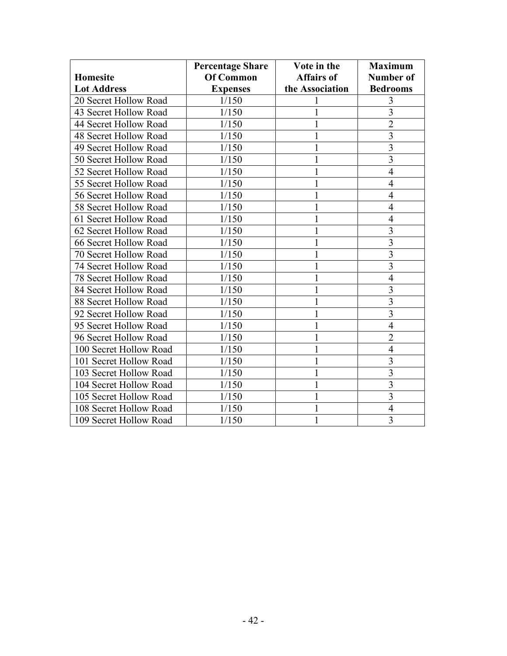|                        | <b>Percentage Share</b> | Vote in the       | <b>Maximum</b>           |
|------------------------|-------------------------|-------------------|--------------------------|
| <b>Homesite</b>        | <b>Of Common</b>        | <b>Affairs of</b> | <b>Number of</b>         |
| <b>Lot Address</b>     | <b>Expenses</b>         | the Association   | <b>Bedrooms</b>          |
| 20 Secret Hollow Road  | 1/150                   |                   | 3                        |
| 43 Secret Hollow Road  | 1/150                   |                   | $\overline{3}$           |
| 44 Secret Hollow Road  | 1/150                   |                   | $\overline{2}$           |
| 48 Secret Hollow Road  | 1/150                   |                   | $\overline{3}$           |
| 49 Secret Hollow Road  | 1/150                   |                   | $\overline{3}$           |
| 50 Secret Hollow Road  | 1/150                   |                   | $\overline{3}$           |
| 52 Secret Hollow Road  | 1/150                   |                   | $\overline{\mathcal{A}}$ |
| 55 Secret Hollow Road  | 1/150                   |                   | 4                        |
| 56 Secret Hollow Road  | 1/150                   |                   | 4                        |
| 58 Secret Hollow Road  | 1/150                   |                   | 4                        |
| 61 Secret Hollow Road  | 1/150                   |                   | $\overline{4}$           |
| 62 Secret Hollow Road  | 1/150                   |                   | 3                        |
| 66 Secret Hollow Road  | 1/150                   |                   | $\overline{3}$           |
| 70 Secret Hollow Road  | 1/150                   |                   | $\overline{3}$           |
| 74 Secret Hollow Road  | 1/150                   |                   | $\overline{3}$           |
| 78 Secret Hollow Road  | 1/150                   |                   | $\overline{4}$           |
| 84 Secret Hollow Road  | 1/150                   |                   | $\overline{3}$           |
| 88 Secret Hollow Road  | 1/150                   |                   | $\overline{3}$           |
| 92 Secret Hollow Road  | 1/150                   |                   | $\overline{3}$           |
| 95 Secret Hollow Road  | 1/150                   |                   | $\overline{4}$           |
| 96 Secret Hollow Road  | 1/150                   |                   | $\overline{2}$           |
| 100 Secret Hollow Road | 1/150                   |                   | $\overline{4}$           |
| 101 Secret Hollow Road | 1/150                   |                   | $\overline{3}$           |
| 103 Secret Hollow Road | 1/150                   |                   | $\overline{3}$           |
| 104 Secret Hollow Road | 1/150                   |                   | $\overline{3}$           |
| 105 Secret Hollow Road | 1/150                   |                   | $\overline{3}$           |
| 108 Secret Hollow Road | 1/150                   |                   | $\overline{4}$           |
| 109 Secret Hollow Road | 1/150                   |                   | 3                        |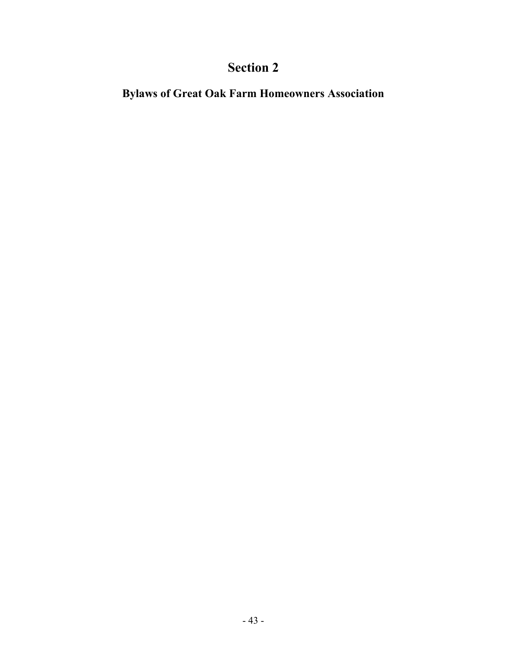# **Section 2**

**Bylaws of Great Oak Farm Homeowners Association**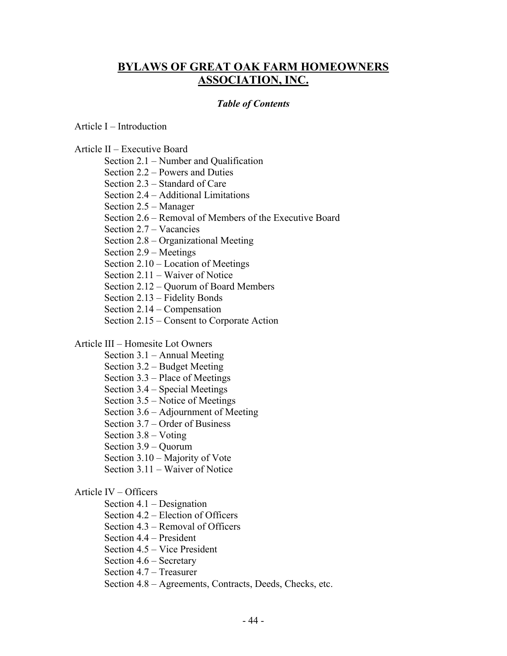### **BYLAWS OF GREAT OAK FARM HOMEOWNERS ASSOCIATION, INC.**

#### *Table of Contents*

Article I – Introduction

Article II – Executive Board

Section 2.1 – Number and Qualification

Section 2.2 – Powers and Duties

Section 2.3 – Standard of Care

Section 2.4 – Additional Limitations

Section 2.5 – Manager

Section 2.6 – Removal of Members of the Executive Board

Section 2.7 – Vacancies

Section 2.8 – Organizational Meeting

Section 2.9 – Meetings

Section 2.10 – Location of Meetings

Section 2.11 – Waiver of Notice

Section 2.12 – Quorum of Board Members

Section 2.13 – Fidelity Bonds

Section 2.14 – Compensation

Section 2.15 – Consent to Corporate Action

#### Article III – Homesite Lot Owners

- Section 3.1 Annual Meeting
- Section 3.2 Budget Meeting
- Section 3.3 Place of Meetings
- Section 3.4 Special Meetings
- Section 3.5 Notice of Meetings
- Section 3.6 Adjournment of Meeting
- Section 3.7 Order of Business
- Section 3.8 Voting
- Section 3.9 Quorum
- Section 3.10 Majority of Vote
- Section 3.11 Waiver of Notice

#### Article IV – Officers

- Section 4.1 Designation
- Section 4.2 Election of Officers
- Section 4.3 Removal of Officers
- Section 4.4 President
- Section 4.5 Vice President
- Section 4.6 Secretary
- Section 4.7 Treasurer
- Section 4.8 Agreements, Contracts, Deeds, Checks, etc.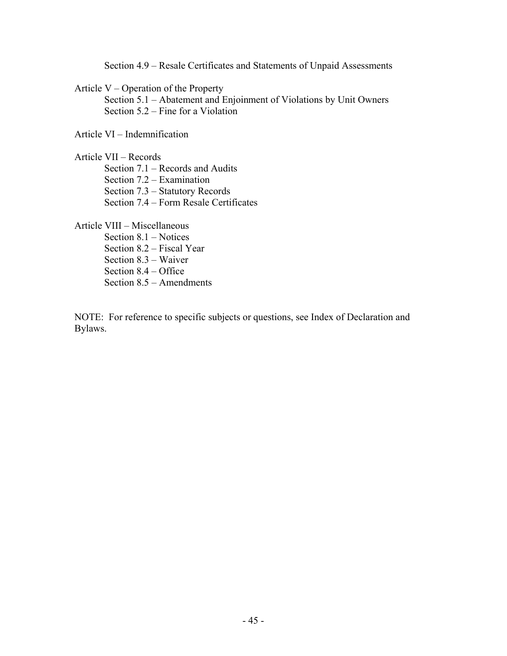Section 4.9 – Resale Certificates and Statements of Unpaid Assessments

Article V – Operation of the Property

 Section 5.1 – Abatement and Enjoinment of Violations by Unit Owners Section 5.2 – Fine for a Violation

Article VI – Indemnification

Article VII – Records

Section 7.1 – Records and Audits

Section 7.2 – Examination

Section 7.3 – Statutory Records

Section 7.4 – Form Resale Certificates

Article VIII – Miscellaneous

 Section 8.1 – Notices Section 8.2 – Fiscal Year Section 8.3 – Waiver Section 8.4 – Office Section 8.5 – Amendments

NOTE: For reference to specific subjects or questions, see Index of Declaration and Bylaws.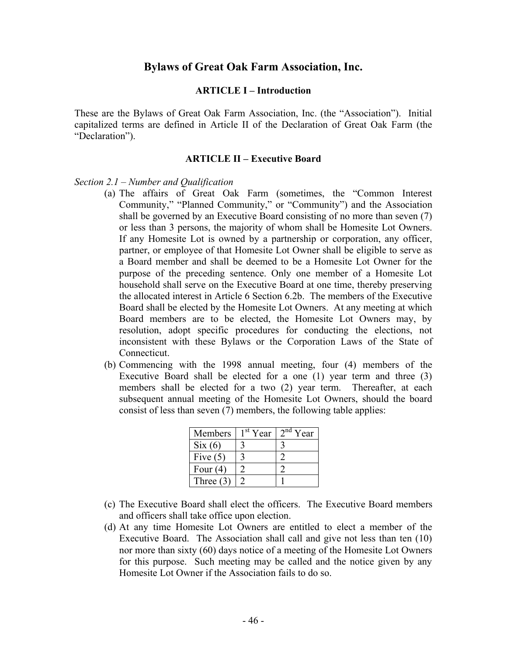#### **Bylaws of Great Oak Farm Association, Inc.**

#### **ARTICLE I – Introduction**

These are the Bylaws of Great Oak Farm Association, Inc. (the "Association"). Initial capitalized terms are defined in Article II of the Declaration of Great Oak Farm (the "Declaration").

#### **ARTICLE II – Executive Board**

#### *Section 2.1 – Number and Qualification*

- (a) The affairs of Great Oak Farm (sometimes, the "Common Interest Community," "Planned Community," or "Community") and the Association shall be governed by an Executive Board consisting of no more than seven (7) or less than 3 persons, the majority of whom shall be Homesite Lot Owners. If any Homesite Lot is owned by a partnership or corporation, any officer, partner, or employee of that Homesite Lot Owner shall be eligible to serve as a Board member and shall be deemed to be a Homesite Lot Owner for the purpose of the preceding sentence. Only one member of a Homesite Lot household shall serve on the Executive Board at one time, thereby preserving the allocated interest in Article 6 Section 6.2b. The members of the Executive Board shall be elected by the Homesite Lot Owners. At any meeting at which Board members are to be elected, the Homesite Lot Owners may, by resolution, adopt specific procedures for conducting the elections, not inconsistent with these Bylaws or the Corporation Laws of the State of Connecticut.
- (b) Commencing with the 1998 annual meeting, four (4) members of the Executive Board shall be elected for a one (1) year term and three (3) members shall be elected for a two (2) year term. Thereafter, at each subsequent annual meeting of the Homesite Lot Owners, should the board consist of less than seven (7) members, the following table applies:

| Members     | <sup>st</sup> Year | $\lambda$ na<br>Year |
|-------------|--------------------|----------------------|
| Six(6)      |                    |                      |
| Five $(5)$  |                    |                      |
| Four $(4)$  |                    |                      |
| Three $(3)$ |                    |                      |

- (c) The Executive Board shall elect the officers. The Executive Board members and officers shall take office upon election.
- (d) At any time Homesite Lot Owners are entitled to elect a member of the Executive Board. The Association shall call and give not less than ten (10) nor more than sixty (60) days notice of a meeting of the Homesite Lot Owners for this purpose. Such meeting may be called and the notice given by any Homesite Lot Owner if the Association fails to do so.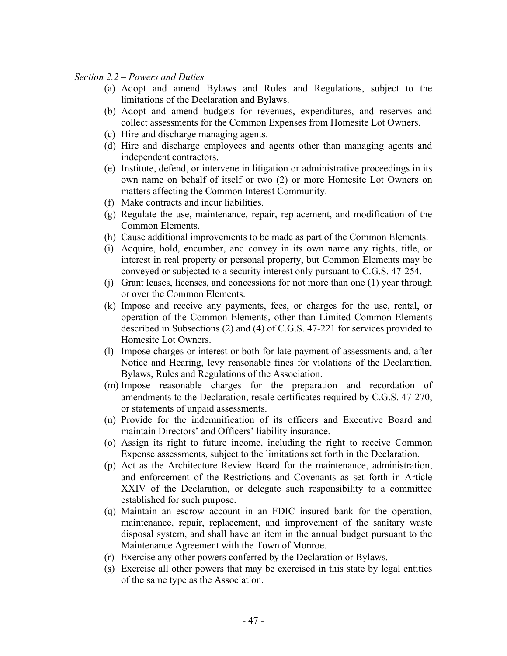#### *Section 2.2 – Powers and Duties*

- (a) Adopt and amend Bylaws and Rules and Regulations, subject to the limitations of the Declaration and Bylaws.
- (b) Adopt and amend budgets for revenues, expenditures, and reserves and collect assessments for the Common Expenses from Homesite Lot Owners.
- (c) Hire and discharge managing agents.
- (d) Hire and discharge employees and agents other than managing agents and independent contractors.
- (e) Institute, defend, or intervene in litigation or administrative proceedings in its own name on behalf of itself or two (2) or more Homesite Lot Owners on matters affecting the Common Interest Community.
- (f) Make contracts and incur liabilities.
- (g) Regulate the use, maintenance, repair, replacement, and modification of the Common Elements.
- (h) Cause additional improvements to be made as part of the Common Elements.
- (i) Acquire, hold, encumber, and convey in its own name any rights, title, or interest in real property or personal property, but Common Elements may be conveyed or subjected to a security interest only pursuant to C.G.S. 47-254.
- (j) Grant leases, licenses, and concessions for not more than one (1) year through or over the Common Elements.
- (k) Impose and receive any payments, fees, or charges for the use, rental, or operation of the Common Elements, other than Limited Common Elements described in Subsections (2) and (4) of C.G.S. 47-221 for services provided to Homesite Lot Owners.
- (l) Impose charges or interest or both for late payment of assessments and, after Notice and Hearing, levy reasonable fines for violations of the Declaration, Bylaws, Rules and Regulations of the Association.
- (m) Impose reasonable charges for the preparation and recordation of amendments to the Declaration, resale certificates required by C.G.S. 47-270, or statements of unpaid assessments.
- (n) Provide for the indemnification of its officers and Executive Board and maintain Directors' and Officers' liability insurance.
- (o) Assign its right to future income, including the right to receive Common Expense assessments, subject to the limitations set forth in the Declaration.
- (p) Act as the Architecture Review Board for the maintenance, administration, and enforcement of the Restrictions and Covenants as set forth in Article XXIV of the Declaration, or delegate such responsibility to a committee established for such purpose.
- (q) Maintain an escrow account in an FDIC insured bank for the operation, maintenance, repair, replacement, and improvement of the sanitary waste disposal system, and shall have an item in the annual budget pursuant to the Maintenance Agreement with the Town of Monroe.
- (r) Exercise any other powers conferred by the Declaration or Bylaws.
- (s) Exercise all other powers that may be exercised in this state by legal entities of the same type as the Association.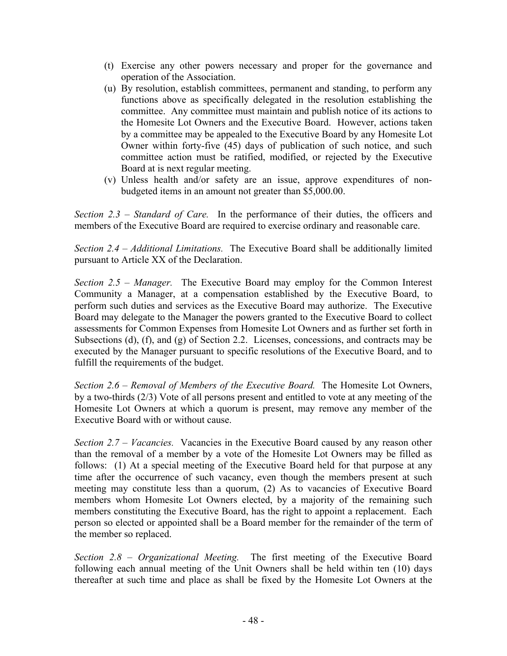- (t) Exercise any other powers necessary and proper for the governance and operation of the Association.
- (u) By resolution, establish committees, permanent and standing, to perform any functions above as specifically delegated in the resolution establishing the committee. Any committee must maintain and publish notice of its actions to the Homesite Lot Owners and the Executive Board. However, actions taken by a committee may be appealed to the Executive Board by any Homesite Lot Owner within forty-five (45) days of publication of such notice, and such committee action must be ratified, modified, or rejected by the Executive Board at is next regular meeting.
- (v) Unless health and/or safety are an issue, approve expenditures of nonbudgeted items in an amount not greater than \$5,000.00.

*Section 2.3 – Standard of Care.* In the performance of their duties, the officers and members of the Executive Board are required to exercise ordinary and reasonable care.

*Section 2.4 – Additional Limitations.* The Executive Board shall be additionally limited pursuant to Article XX of the Declaration.

*Section 2.5 – Manager.* The Executive Board may employ for the Common Interest Community a Manager, at a compensation established by the Executive Board, to perform such duties and services as the Executive Board may authorize. The Executive Board may delegate to the Manager the powers granted to the Executive Board to collect assessments for Common Expenses from Homesite Lot Owners and as further set forth in Subsections (d), (f), and (g) of Section 2.2. Licenses, concessions, and contracts may be executed by the Manager pursuant to specific resolutions of the Executive Board, and to fulfill the requirements of the budget.

*Section 2.6 – Removal of Members of the Executive Board.* The Homesite Lot Owners, by a two-thirds (2/3) Vote of all persons present and entitled to vote at any meeting of the Homesite Lot Owners at which a quorum is present, may remove any member of the Executive Board with or without cause.

*Section 2.7 – Vacancies.* Vacancies in the Executive Board caused by any reason other than the removal of a member by a vote of the Homesite Lot Owners may be filled as follows: (1) At a special meeting of the Executive Board held for that purpose at any time after the occurrence of such vacancy, even though the members present at such meeting may constitute less than a quorum, (2) As to vacancies of Executive Board members whom Homesite Lot Owners elected, by a majority of the remaining such members constituting the Executive Board, has the right to appoint a replacement. Each person so elected or appointed shall be a Board member for the remainder of the term of the member so replaced.

*Section 2.8 – Organizational Meeting.* The first meeting of the Executive Board following each annual meeting of the Unit Owners shall be held within ten (10) days thereafter at such time and place as shall be fixed by the Homesite Lot Owners at the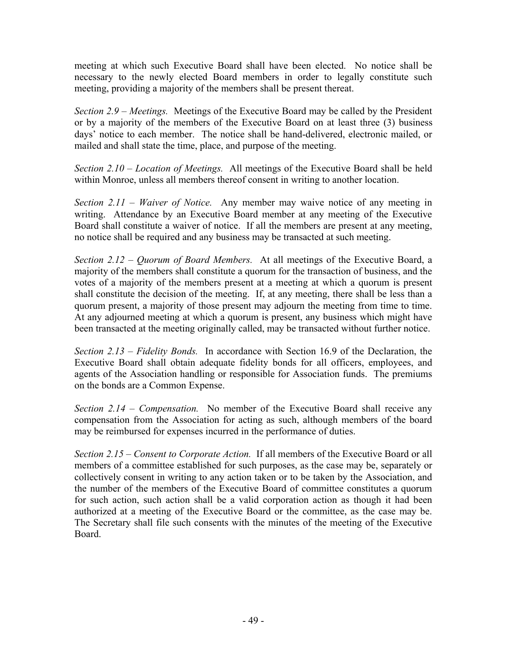meeting at which such Executive Board shall have been elected. No notice shall be necessary to the newly elected Board members in order to legally constitute such meeting, providing a majority of the members shall be present thereat.

*Section 2.9 – Meetings.* Meetings of the Executive Board may be called by the President or by a majority of the members of the Executive Board on at least three (3) business days' notice to each member. The notice shall be hand-delivered, electronic mailed, or mailed and shall state the time, place, and purpose of the meeting.

*Section 2.10 – Location of Meetings.* All meetings of the Executive Board shall be held within Monroe, unless all members thereof consent in writing to another location.

*Section 2.11 – Waiver of Notice.* Any member may waive notice of any meeting in writing. Attendance by an Executive Board member at any meeting of the Executive Board shall constitute a waiver of notice. If all the members are present at any meeting, no notice shall be required and any business may be transacted at such meeting.

*Section 2.12 – Quorum of Board Members.* At all meetings of the Executive Board, a majority of the members shall constitute a quorum for the transaction of business, and the votes of a majority of the members present at a meeting at which a quorum is present shall constitute the decision of the meeting. If, at any meeting, there shall be less than a quorum present, a majority of those present may adjourn the meeting from time to time. At any adjourned meeting at which a quorum is present, any business which might have been transacted at the meeting originally called, may be transacted without further notice.

*Section 2.13 – Fidelity Bonds.* In accordance with Section 16.9 of the Declaration, the Executive Board shall obtain adequate fidelity bonds for all officers, employees, and agents of the Association handling or responsible for Association funds. The premiums on the bonds are a Common Expense.

*Section 2.14 – Compensation.* No member of the Executive Board shall receive any compensation from the Association for acting as such, although members of the board may be reimbursed for expenses incurred in the performance of duties.

*Section 2.15 – Consent to Corporate Action.* If all members of the Executive Board or all members of a committee established for such purposes, as the case may be, separately or collectively consent in writing to any action taken or to be taken by the Association, and the number of the members of the Executive Board of committee constitutes a quorum for such action, such action shall be a valid corporation action as though it had been authorized at a meeting of the Executive Board or the committee, as the case may be. The Secretary shall file such consents with the minutes of the meeting of the Executive Board.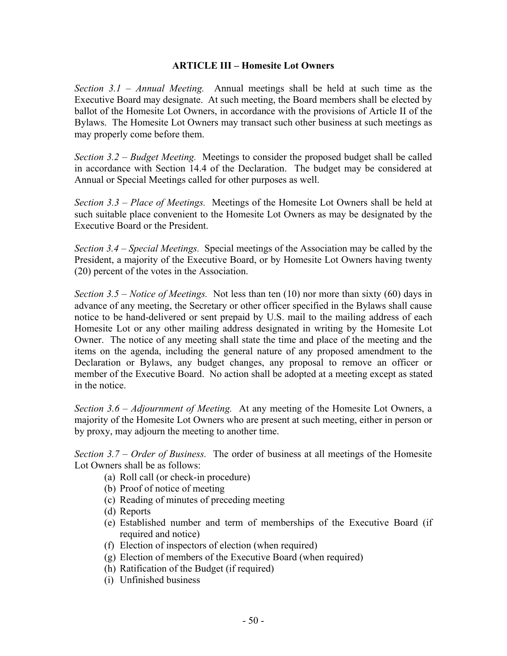#### **ARTICLE III – Homesite Lot Owners**

*Section 3.1 – Annual Meeting.* Annual meetings shall be held at such time as the Executive Board may designate. At such meeting, the Board members shall be elected by ballot of the Homesite Lot Owners, in accordance with the provisions of Article II of the Bylaws. The Homesite Lot Owners may transact such other business at such meetings as may properly come before them.

*Section 3.2 – Budget Meeting.* Meetings to consider the proposed budget shall be called in accordance with Section 14.4 of the Declaration. The budget may be considered at Annual or Special Meetings called for other purposes as well.

*Section 3.3 – Place of Meetings.* Meetings of the Homesite Lot Owners shall be held at such suitable place convenient to the Homesite Lot Owners as may be designated by the Executive Board or the President.

*Section 3.4 – Special Meetings.* Special meetings of the Association may be called by the President, a majority of the Executive Board, or by Homesite Lot Owners having twenty (20) percent of the votes in the Association.

*Section 3.5 – Notice of Meetings.* Not less than ten (10) nor more than sixty (60) days in advance of any meeting, the Secretary or other officer specified in the Bylaws shall cause notice to be hand-delivered or sent prepaid by U.S. mail to the mailing address of each Homesite Lot or any other mailing address designated in writing by the Homesite Lot Owner. The notice of any meeting shall state the time and place of the meeting and the items on the agenda, including the general nature of any proposed amendment to the Declaration or Bylaws, any budget changes, any proposal to remove an officer or member of the Executive Board. No action shall be adopted at a meeting except as stated in the notice.

*Section 3.6 – Adjournment of Meeting.* At any meeting of the Homesite Lot Owners, a majority of the Homesite Lot Owners who are present at such meeting, either in person or by proxy, may adjourn the meeting to another time.

*Section 3.7 – Order of Business.* The order of business at all meetings of the Homesite Lot Owners shall be as follows:

- (a) Roll call (or check-in procedure)
- (b) Proof of notice of meeting
- (c) Reading of minutes of preceding meeting
- (d) Reports
- (e) Established number and term of memberships of the Executive Board (if required and notice)
- (f) Election of inspectors of election (when required)
- (g) Election of members of the Executive Board (when required)
- (h) Ratification of the Budget (if required)
- (i) Unfinished business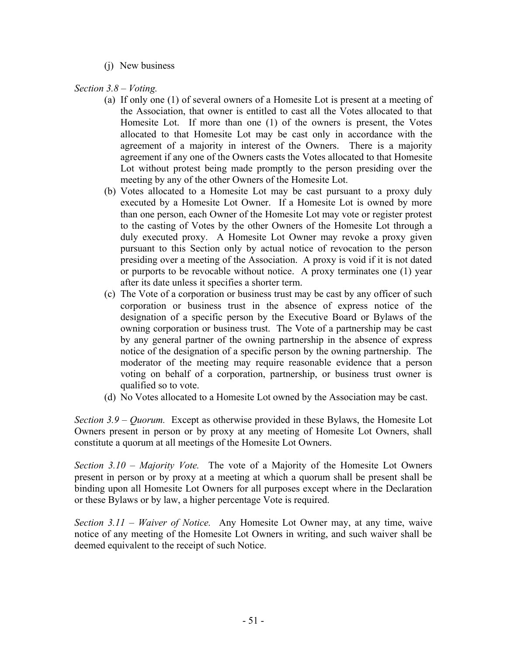(j) New business

*Section 3.8 – Voting.* 

- (a) If only one (1) of several owners of a Homesite Lot is present at a meeting of the Association, that owner is entitled to cast all the Votes allocated to that Homesite Lot. If more than one (1) of the owners is present, the Votes allocated to that Homesite Lot may be cast only in accordance with the agreement of a majority in interest of the Owners. There is a majority agreement if any one of the Owners casts the Votes allocated to that Homesite Lot without protest being made promptly to the person presiding over the meeting by any of the other Owners of the Homesite Lot.
- (b) Votes allocated to a Homesite Lot may be cast pursuant to a proxy duly executed by a Homesite Lot Owner. If a Homesite Lot is owned by more than one person, each Owner of the Homesite Lot may vote or register protest to the casting of Votes by the other Owners of the Homesite Lot through a duly executed proxy. A Homesite Lot Owner may revoke a proxy given pursuant to this Section only by actual notice of revocation to the person presiding over a meeting of the Association. A proxy is void if it is not dated or purports to be revocable without notice. A proxy terminates one (1) year after its date unless it specifies a shorter term.
- (c) The Vote of a corporation or business trust may be cast by any officer of such corporation or business trust in the absence of express notice of the designation of a specific person by the Executive Board or Bylaws of the owning corporation or business trust. The Vote of a partnership may be cast by any general partner of the owning partnership in the absence of express notice of the designation of a specific person by the owning partnership. The moderator of the meeting may require reasonable evidence that a person voting on behalf of a corporation, partnership, or business trust owner is qualified so to vote.
- (d) No Votes allocated to a Homesite Lot owned by the Association may be cast.

*Section 3.9 – Quorum.* Except as otherwise provided in these Bylaws, the Homesite Lot Owners present in person or by proxy at any meeting of Homesite Lot Owners, shall constitute a quorum at all meetings of the Homesite Lot Owners.

*Section 3.10 – Majority Vote.* The vote of a Majority of the Homesite Lot Owners present in person or by proxy at a meeting at which a quorum shall be present shall be binding upon all Homesite Lot Owners for all purposes except where in the Declaration or these Bylaws or by law, a higher percentage Vote is required.

*Section 3.11 – Waiver of Notice.* Any Homesite Lot Owner may, at any time, waive notice of any meeting of the Homesite Lot Owners in writing, and such waiver shall be deemed equivalent to the receipt of such Notice.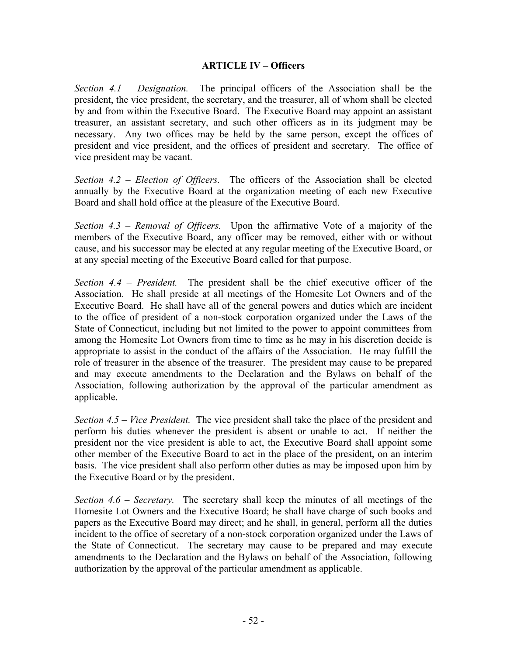#### **ARTICLE IV – Officers**

*Section 4.1 – Designation.* The principal officers of the Association shall be the president, the vice president, the secretary, and the treasurer, all of whom shall be elected by and from within the Executive Board. The Executive Board may appoint an assistant treasurer, an assistant secretary, and such other officers as in its judgment may be necessary. Any two offices may be held by the same person, except the offices of president and vice president, and the offices of president and secretary. The office of vice president may be vacant.

*Section 4.2 – Election of Officers.* The officers of the Association shall be elected annually by the Executive Board at the organization meeting of each new Executive Board and shall hold office at the pleasure of the Executive Board.

*Section 4.3 – Removal of Officers.* Upon the affirmative Vote of a majority of the members of the Executive Board, any officer may be removed, either with or without cause, and his successor may be elected at any regular meeting of the Executive Board, or at any special meeting of the Executive Board called for that purpose.

*Section 4.4 – President.* The president shall be the chief executive officer of the Association. He shall preside at all meetings of the Homesite Lot Owners and of the Executive Board. He shall have all of the general powers and duties which are incident to the office of president of a non-stock corporation organized under the Laws of the State of Connecticut, including but not limited to the power to appoint committees from among the Homesite Lot Owners from time to time as he may in his discretion decide is appropriate to assist in the conduct of the affairs of the Association. He may fulfill the role of treasurer in the absence of the treasurer. The president may cause to be prepared and may execute amendments to the Declaration and the Bylaws on behalf of the Association, following authorization by the approval of the particular amendment as applicable.

*Section 4.5 – Vice President.* The vice president shall take the place of the president and perform his duties whenever the president is absent or unable to act. If neither the president nor the vice president is able to act, the Executive Board shall appoint some other member of the Executive Board to act in the place of the president, on an interim basis. The vice president shall also perform other duties as may be imposed upon him by the Executive Board or by the president.

*Section 4.6 – Secretary.* The secretary shall keep the minutes of all meetings of the Homesite Lot Owners and the Executive Board; he shall have charge of such books and papers as the Executive Board may direct; and he shall, in general, perform all the duties incident to the office of secretary of a non-stock corporation organized under the Laws of the State of Connecticut. The secretary may cause to be prepared and may execute amendments to the Declaration and the Bylaws on behalf of the Association, following authorization by the approval of the particular amendment as applicable.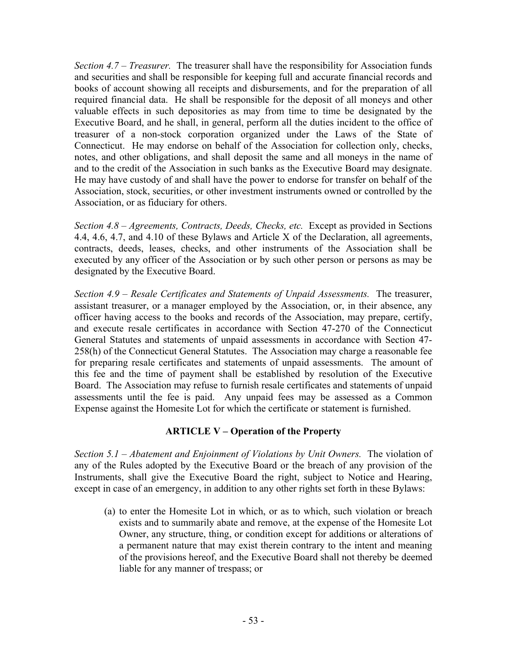*Section 4.7 – Treasurer.* The treasurer shall have the responsibility for Association funds and securities and shall be responsible for keeping full and accurate financial records and books of account showing all receipts and disbursements, and for the preparation of all required financial data. He shall be responsible for the deposit of all moneys and other valuable effects in such depositories as may from time to time be designated by the Executive Board, and he shall, in general, perform all the duties incident to the office of treasurer of a non-stock corporation organized under the Laws of the State of Connecticut. He may endorse on behalf of the Association for collection only, checks, notes, and other obligations, and shall deposit the same and all moneys in the name of and to the credit of the Association in such banks as the Executive Board may designate. He may have custody of and shall have the power to endorse for transfer on behalf of the Association, stock, securities, or other investment instruments owned or controlled by the Association, or as fiduciary for others.

*Section 4.8 – Agreements, Contracts, Deeds, Checks, etc.* Except as provided in Sections 4.4, 4.6, 4.7, and 4.10 of these Bylaws and Article X of the Declaration, all agreements, contracts, deeds, leases, checks, and other instruments of the Association shall be executed by any officer of the Association or by such other person or persons as may be designated by the Executive Board.

*Section 4.9 – Resale Certificates and Statements of Unpaid Assessments.* The treasurer, assistant treasurer, or a manager employed by the Association, or, in their absence, any officer having access to the books and records of the Association, may prepare, certify, and execute resale certificates in accordance with Section 47-270 of the Connecticut General Statutes and statements of unpaid assessments in accordance with Section 47- 258(h) of the Connecticut General Statutes. The Association may charge a reasonable fee for preparing resale certificates and statements of unpaid assessments. The amount of this fee and the time of payment shall be established by resolution of the Executive Board. The Association may refuse to furnish resale certificates and statements of unpaid assessments until the fee is paid. Any unpaid fees may be assessed as a Common Expense against the Homesite Lot for which the certificate or statement is furnished.

#### **ARTICLE V – Operation of the Property**

*Section 5.1 – Abatement and Enjoinment of Violations by Unit Owners.* The violation of any of the Rules adopted by the Executive Board or the breach of any provision of the Instruments, shall give the Executive Board the right, subject to Notice and Hearing, except in case of an emergency, in addition to any other rights set forth in these Bylaws:

(a) to enter the Homesite Lot in which, or as to which, such violation or breach exists and to summarily abate and remove, at the expense of the Homesite Lot Owner, any structure, thing, or condition except for additions or alterations of a permanent nature that may exist therein contrary to the intent and meaning of the provisions hereof, and the Executive Board shall not thereby be deemed liable for any manner of trespass; or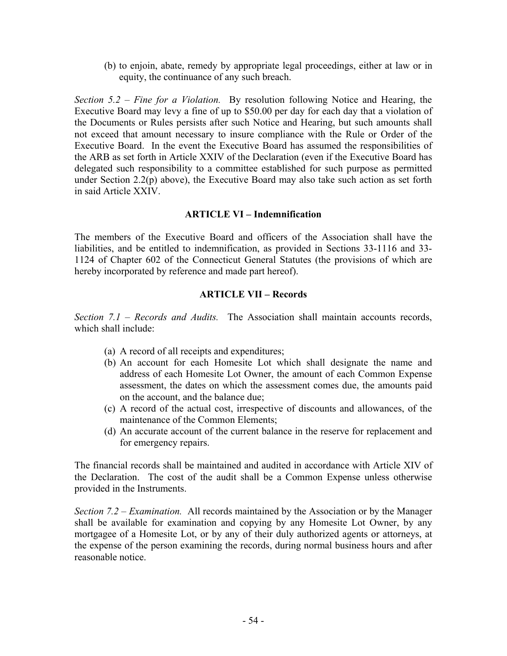(b) to enjoin, abate, remedy by appropriate legal proceedings, either at law or in equity, the continuance of any such breach.

*Section 5.2 – Fine for a Violation.* By resolution following Notice and Hearing, the Executive Board may levy a fine of up to \$50.00 per day for each day that a violation of the Documents or Rules persists after such Notice and Hearing, but such amounts shall not exceed that amount necessary to insure compliance with the Rule or Order of the Executive Board. In the event the Executive Board has assumed the responsibilities of the ARB as set forth in Article XXIV of the Declaration (even if the Executive Board has delegated such responsibility to a committee established for such purpose as permitted under Section 2.2(p) above), the Executive Board may also take such action as set forth in said Article XXIV.

#### **ARTICLE VI – Indemnification**

The members of the Executive Board and officers of the Association shall have the liabilities, and be entitled to indemnification, as provided in Sections 33-1116 and 33- 1124 of Chapter 602 of the Connecticut General Statutes (the provisions of which are hereby incorporated by reference and made part hereof).

#### **ARTICLE VII – Records**

*Section 7.1 – Records and Audits.* The Association shall maintain accounts records, which shall include:

- (a) A record of all receipts and expenditures;
- (b) An account for each Homesite Lot which shall designate the name and address of each Homesite Lot Owner, the amount of each Common Expense assessment, the dates on which the assessment comes due, the amounts paid on the account, and the balance due;
- (c) A record of the actual cost, irrespective of discounts and allowances, of the maintenance of the Common Elements;
- (d) An accurate account of the current balance in the reserve for replacement and for emergency repairs.

The financial records shall be maintained and audited in accordance with Article XIV of the Declaration. The cost of the audit shall be a Common Expense unless otherwise provided in the Instruments.

*Section 7.2 – Examination.* All records maintained by the Association or by the Manager shall be available for examination and copying by any Homesite Lot Owner, by any mortgagee of a Homesite Lot, or by any of their duly authorized agents or attorneys, at the expense of the person examining the records, during normal business hours and after reasonable notice.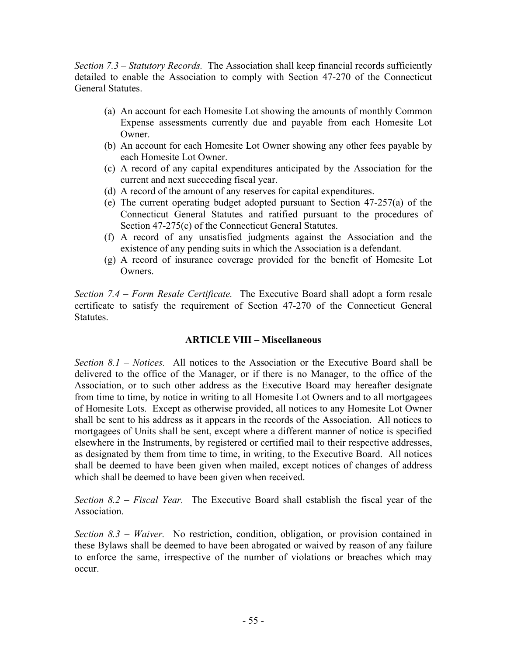*Section 7.3 – Statutory Records.* The Association shall keep financial records sufficiently detailed to enable the Association to comply with Section 47-270 of the Connecticut General Statutes.

- (a) An account for each Homesite Lot showing the amounts of monthly Common Expense assessments currently due and payable from each Homesite Lot Owner.
- (b) An account for each Homesite Lot Owner showing any other fees payable by each Homesite Lot Owner.
- (c) A record of any capital expenditures anticipated by the Association for the current and next succeeding fiscal year.
- (d) A record of the amount of any reserves for capital expenditures.
- (e) The current operating budget adopted pursuant to Section 47-257(a) of the Connecticut General Statutes and ratified pursuant to the procedures of Section 47-275(c) of the Connecticut General Statutes.
- (f) A record of any unsatisfied judgments against the Association and the existence of any pending suits in which the Association is a defendant.
- (g) A record of insurance coverage provided for the benefit of Homesite Lot **Owners**

*Section 7.4 – Form Resale Certificate.* The Executive Board shall adopt a form resale certificate to satisfy the requirement of Section 47-270 of the Connecticut General Statutes.

#### **ARTICLE VIII – Miscellaneous**

*Section 8.1 – Notices.* All notices to the Association or the Executive Board shall be delivered to the office of the Manager, or if there is no Manager, to the office of the Association, or to such other address as the Executive Board may hereafter designate from time to time, by notice in writing to all Homesite Lot Owners and to all mortgagees of Homesite Lots. Except as otherwise provided, all notices to any Homesite Lot Owner shall be sent to his address as it appears in the records of the Association. All notices to mortgagees of Units shall be sent, except where a different manner of notice is specified elsewhere in the Instruments, by registered or certified mail to their respective addresses, as designated by them from time to time, in writing, to the Executive Board. All notices shall be deemed to have been given when mailed, except notices of changes of address which shall be deemed to have been given when received.

*Section 8.2 – Fiscal Year.* The Executive Board shall establish the fiscal year of the Association.

*Section 8.3 – Waiver.* No restriction, condition, obligation, or provision contained in these Bylaws shall be deemed to have been abrogated or waived by reason of any failure to enforce the same, irrespective of the number of violations or breaches which may occur.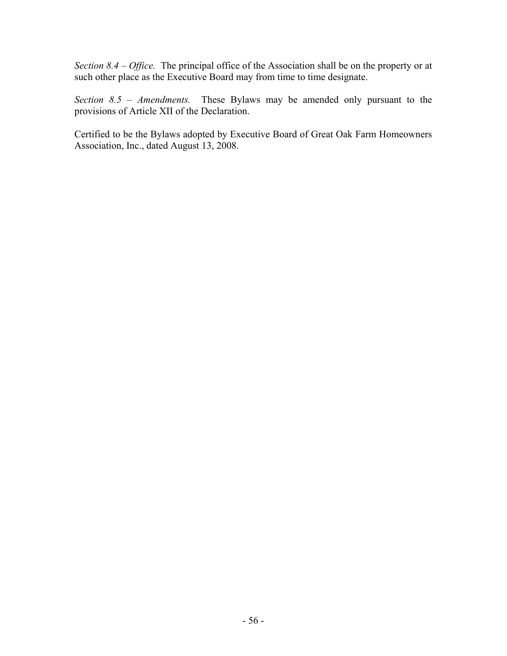*Section 8.4 – Office.* The principal office of the Association shall be on the property or at such other place as the Executive Board may from time to time designate.

*Section 8.5 – Amendments.* These Bylaws may be amended only pursuant to the provisions of Article XII of the Declaration.

Certified to be the Bylaws adopted by Executive Board of Great Oak Farm Homeowners Association, Inc., dated August 13, 2008.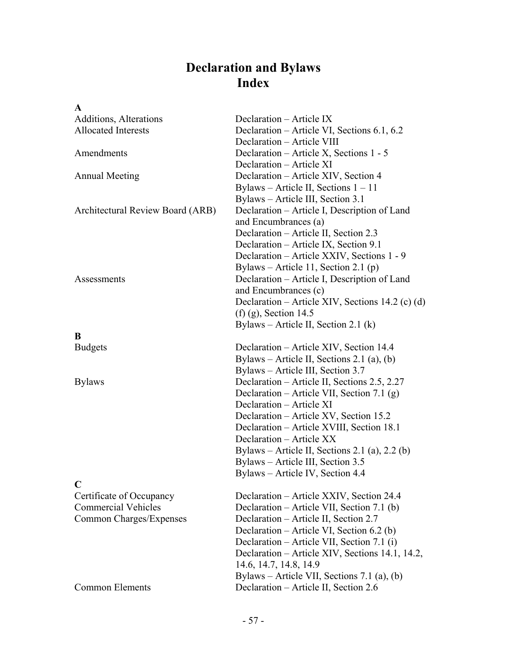# **Declaration and Bylaws Index**

| A                                |                                                  |
|----------------------------------|--------------------------------------------------|
| Additions, Alterations           | Declaration – Article IX                         |
| <b>Allocated Interests</b>       | Declaration – Article VI, Sections 6.1, 6.2      |
|                                  | Declaration - Article VIII                       |
| Amendments                       | Declaration - Article X, Sections 1 - 5          |
|                                  | Declaration - Article XI                         |
| <b>Annual Meeting</b>            | Declaration - Article XIV, Section 4             |
|                                  | Bylaws – Article II, Sections $1 - 11$           |
|                                  | Bylaws – Article III, Section 3.1                |
| Architectural Review Board (ARB) | Declaration – Article I, Description of Land     |
|                                  | and Encumbrances (a)                             |
|                                  | Declaration – Article II, Section 2.3            |
|                                  | Declaration - Article IX, Section 9.1            |
|                                  | Declaration - Article XXIV, Sections 1 - 9       |
|                                  | Bylaws – Article 11, Section 2.1 (p)             |
| Assessments                      | Declaration – Article I, Description of Land     |
|                                  | and Encumbrances (c)                             |
|                                  | Declaration – Article XIV, Sections 14.2 (c) (d) |
|                                  | (f) (g), Section 14.5                            |
|                                  | Bylaws – Article II, Section 2.1 $(k)$           |
| B<br><b>Budgets</b>              | Declaration – Article XIV, Section 14.4          |
|                                  | Bylaws – Article II, Sections 2.1 (a), (b)       |
|                                  | Bylaws – Article III, Section 3.7                |
| <b>Bylaws</b>                    | Declaration – Article II, Sections 2.5, 2.27     |
|                                  | Declaration – Article VII, Section 7.1 (g)       |
|                                  | Declaration – Article XI                         |
|                                  | Declaration – Article XV, Section 15.2           |
|                                  | Declaration - Article XVIII, Section 18.1        |
|                                  | Declaration - Article XX                         |
|                                  | Bylaws – Article II, Sections 2.1 (a), 2.2 (b)   |
|                                  | Bylaws - Article III, Section 3.5                |
|                                  | Bylaws - Article IV, Section 4.4                 |
| C                                |                                                  |
| Certificate of Occupancy         | Declaration – Article XXIV, Section 24.4         |
| <b>Commercial Vehicles</b>       | Declaration – Article VII, Section 7.1 (b)       |
| Common Charges/Expenses          | Declaration – Article II, Section 2.7            |
|                                  | Declaration – Article VI, Section 6.2 (b)        |
|                                  | Declaration – Article VII, Section 7.1 (i)       |
|                                  | Declaration – Article XIV, Sections 14.1, 14.2,  |
|                                  | 14.6, 14.7, 14.8, 14.9                           |
|                                  | Bylaws – Article VII, Sections 7.1 (a), (b)      |
| <b>Common Elements</b>           | Declaration - Article II, Section 2.6            |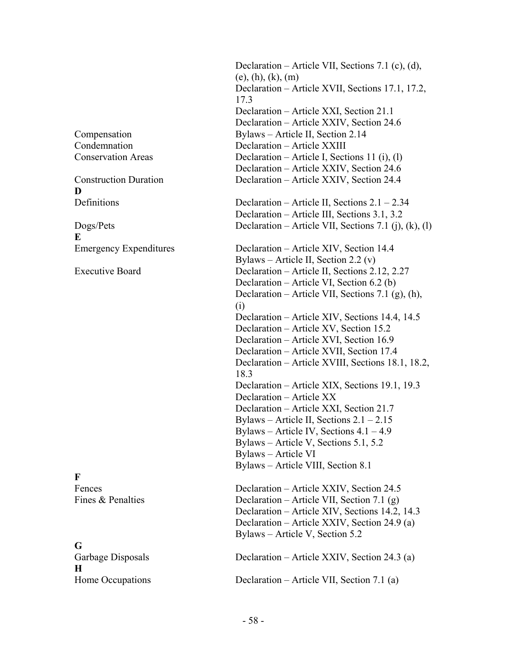**D** 

**E** 

**F** 

# **G H**  Home Occupations Declaration – Article VII, Section 7.1 (a)

 Declaration – Article VII, Sections 7.1 (c), (d), (e), (h), (k), (m) Declaration – Article XVII, Sections 17.1, 17.2, 17.3 Declaration – Article XXI, Section 21.1 Declaration – Article XXIV, Section 24.6 Compensation Bylaws – Article II, Section 2.14 Condemnation Declaration – Article XXIII Conservation Areas Declaration – Article I, Sections 11 (i), (l) Declaration – Article XXIV, Section 24.6 Construction Duration Declaration – Article XXIV, Section 24.4 Definitions Declaration – Article II, Sections 2.1 – 2.34 Declaration – Article III, Sections 3.1, 3.2 Dogs/Pets Declaration – Article VII, Sections 7.1 (j), (k), (l) Emergency Expenditures Declaration – Article XIV, Section 14.4 Bylaws – Article II, Section 2.2 (v) Executive Board Declaration – Article II, Sections 2.12, 2.27 Declaration – Article VI, Section 6.2 (b) Declaration – Article VII, Sections 7.1 (g), (h), (i) Declaration – Article XIV, Sections 14.4, 14.5 Declaration – Article XV, Section 15.2 Declaration – Article XVI, Section 16.9 Declaration – Article XVII, Section 17.4 Declaration – Article XVIII, Sections 18.1, 18.2, 18.3 Declaration – Article XIX, Sections 19.1, 19.3 Declaration – Article XX Declaration – Article XXI, Section 21.7 Bylaws – Article II, Sections  $2.1 - 2.15$  Bylaws – Article IV, Sections 4.1 – 4.9 Bylaws – Article V, Sections 5.1, 5.2 Bylaws – Article VI Bylaws – Article VIII, Section 8.1 Fences Declaration – Article XXIV, Section 24.5 Fines & Penalties Declaration – Article VII, Section 7.1 (g) Declaration – Article XIV, Sections 14.2, 14.3 Declaration – Article XXIV, Section 24.9 (a) Bylaws – Article V, Section 5.2 Garbage Disposals Declaration – Article XXIV, Section 24.3 (a)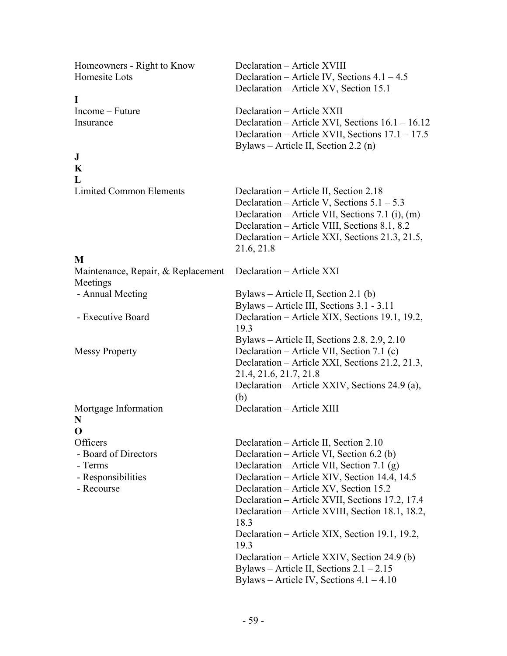Homeowners - Right to Know Declaration – Article XVIII

**I** 

### **J**

**K L** 

#### **M**

Maintenance, Repair, & Replacement Declaration – Article XXI Meetings

**N O** 

Homesite Lots Declaration – Article IV, Sections 4.1 – 4.5 Declaration – Article XV, Section 15.1 Income – Future Declaration – Article XXII Insurance Declaration – Article XVI, Sections 16.1 – 16.12 Declaration – Article XVII, Sections 17.1 – 17.5 Bylaws – Article II, Section 2.2 (n) Limited Common Elements Declaration – Article II, Section 2.18 Declaration – Article V, Sections  $5.1 - 5.3$  Declaration – Article VII, Sections 7.1 (i), (m) Declaration – Article VIII, Sections 8.1, 8.2 Declaration – Article XXI, Sections 21.3, 21.5, 21.6, 21.8 - Annual Meeting Bylaws – Article II, Section 2.1 (b) Bylaws – Article III, Sections 3.1 - 3.11 - Executive Board Declaration – Article XIX, Sections 19.1, 19.2, 19.3 Bylaws – Article II, Sections 2.8, 2.9, 2.10 Messy Property Declaration – Article VII, Section 7.1 (c) Declaration – Article XXI, Sections 21.2, 21.3, 21.4, 21.6, 21.7, 21.8 Declaration – Article XXIV, Sections 24.9 (a), (b) Mortgage Information Declaration – Article XIII Officers Declaration – Article II, Section 2.10 - Board of Directors Declaration – Article VI, Section 6.2 (b) - Terms Declaration – Article VII, Section 7.1 (g) - Responsibilities Declaration – Article XIV, Section 14.4, 14.5 - Recourse Declaration – Article XV, Section 15.2 Declaration – Article XVII, Sections 17.2, 17.4 Declaration – Article XVIII, Section 18.1, 18.2, 18.3

 Declaration – Article XIX, Section 19.1, 19.2, 19.3 Declaration – Article XXIV, Section 24.9 (b) Bylaws – Article II, Sections 2.1 – 2.15

Bylaws – Article IV, Sections 4.1 – 4.10